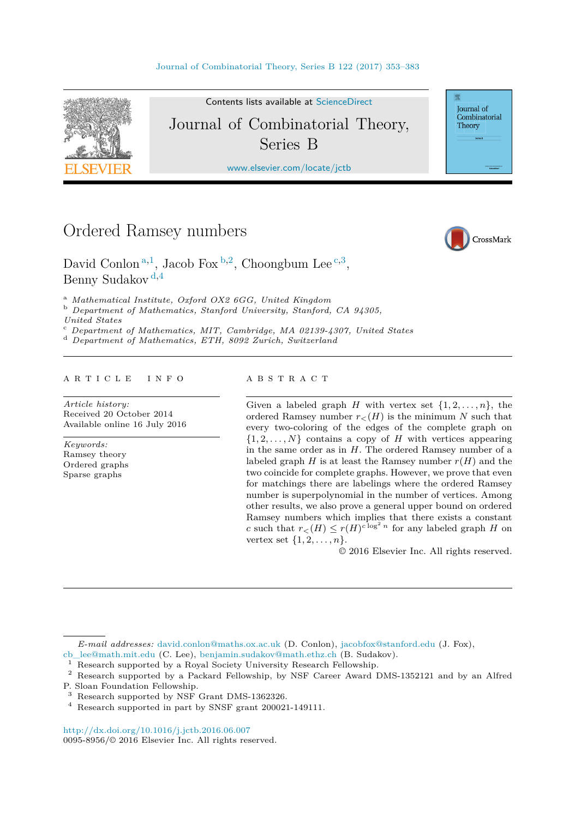

Contents lists available at [ScienceDirect](http://www.ScienceDirect.com/) Journal of Combinatorial Theory, Series B

[www.elsevier.com/locate/jctb](http://www.elsevier.com/locate/jctb)

Ordered Ramsey numbers

CrossMark

Journal of Combinatorial Theory

David Conlon  $a,1$ , Jacob Fox  $b,2$ , Choongbum Lee  $c,3$ , Benny Sudakov <sup>d</sup>*,*<sup>4</sup>

<sup>a</sup> Mathematical Institute, Oxford OX2 6GG, United Kingdom<br><sup>b</sup> Department of Mathematics, Stanford University, Stanford, CA 94305,

*United States*

 $^c$  Department of Mathematics, MIT, Cambridge, MA 02139-4307, United States  $^d$  Department of Mathematics, ETH, 8092 Zurich, Switzerland

#### A R T I C L E I N F O A B S T R A C T

*Article history:* Received 20 October 2014 Available online 16 July 2016

*Keywords:* Ramsey theory Ordered graphs Sparse graphs

Given a labeled graph *H* with vertex set  $\{1, 2, \ldots, n\}$ , the ordered Ramsey number  $r<sub>lt</sub>(H)$  is the minimum *N* such that every two-coloring of the edges of the complete graph on  $\{1, 2, \ldots, N\}$  contains a copy of *H* with vertices appearing in the same order as in *H*. The ordered Ramsey number of a labeled graph  $H$  is at least the Ramsey number  $r(H)$  and the two coincide for complete graphs. However, we prove that even for matchings there are labelings where the ordered Ramsey number is superpolynomial in the number of vertices. Among other results, we also prove a general upper bound on ordered Ramsey numbers which implies that there exists a constant *c* such that  $r<sub>lt</sub>(H) \le r(H) \cdot \log^2 n$  for any labeled graph *H* on vertex set  $\{1, 2, ..., n\}$ .

© 2016 Elsevier Inc. All rights reserved.

Research supported in part by SNSF grant 200021-149111.

<http://dx.doi.org/10.1016/j.jctb.2016.06.007> 0095-8956/© 2016 Elsevier Inc. All rights reserved.

*E-mail addresses:* [david.conlon@maths.ox.ac.uk](mailto:david.conlon@maths.ox.ac.uk) (D. Conlon), [jacobfox@stanford.edu](mailto:jacobfox@stanford.edu) (J. Fox),

[cb\\_lee@math.mit.edu](mailto:cb_lee@math.mit.edu) (C. Lee), [benjamin.sudakov@math.ethz.ch](mailto:benjamin.sudakov@math.ethz.ch) (B. Sudakov).

<sup>1</sup> Research supported by a Royal Society University Research Fellowship.

<sup>2</sup> Research supported by a Packard Fellowship, by NSF Career Award DMS-1352121 and by an Alfred P. Sloan Foundation Fellowship.

<sup>3</sup> Research supported by NSF Grant DMS-1362326.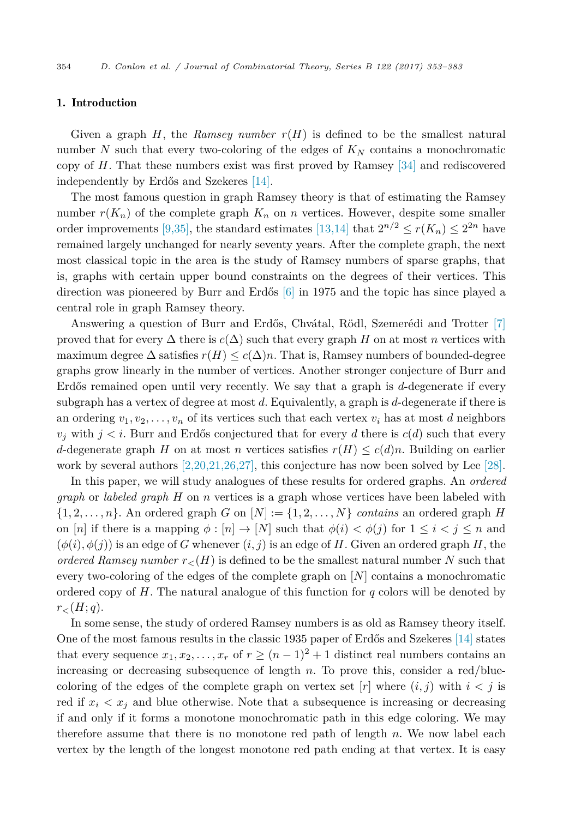## 1. Introduction

Given a graph  $H$ , the *Ramsey number*  $r(H)$  is defined to be the smallest natural number N such that every two-coloring of the edges of  $K_N$  contains a monochromatic copy of *H*. That these numbers exist was first proved by Ramsey [\[34\]](#page-30-0) and rediscovered independently by Erdős and Szekeres [\[14\].](#page-29-0)

The most famous question in graph Ramsey theory is that of estimating the Ramsey number  $r(K_n)$  of the complete graph  $K_n$  on *n* vertices. However, despite some smaller order improvements [\[9,35\],](#page-29-0) the standard estimates [\[13,14\]](#page-29-0) that  $2^{n/2} \le r(K_n) \le 2^{2n}$  have remained largely unchanged for nearly seventy years. After the complete graph, the next most classical topic in the area is the study of Ramsey numbers of sparse graphs, that is, graphs with certain upper bound constraints on the degrees of their vertices. This direction was pioneered by Burr and Erdős [\[6\]](#page-29-0) in 1975 and the topic has since played a central role in graph Ramsey theory.

Answering a question of Burr and Erdős, Chvátal, Rödl, Szemerédi and Trotter [\[7\]](#page-29-0) proved that for every  $\Delta$  there is  $c(\Delta)$  such that every graph *H* on at most *n* vertices with maximum degree  $\Delta$  satisfies  $r(H) \leq c(\Delta)n$ . That is, Ramsey numbers of bounded-degree graphs grow linearly in the number of vertices. Another stronger conjecture of Burr and Erdős remained open until very recently. We say that a graph is *d*-degenerate if every subgraph has a vertex of degree at most *d*. Equivalently, a graph is *d*-degenerate if there is an ordering  $v_1, v_2, \ldots, v_n$  of its vertices such that each vertex  $v_i$  has at most *d* neighbors  $v_j$  with  $j < i$ . Burr and Erdős conjectured that for every *d* there is  $c(d)$  such that every *d*-degenerate graph *H* on at most *n* vertices satisfies  $r(H) \leq c(d)n$ . Building on earlier work by several authors [\[2,20,21,26,27\],](#page-29-0) this conjecture has now been solved by Lee [\[28\].](#page-29-0)

In this paper, we will study analogues of these results for ordered graphs. An *ordered graph* or *labeled graph H* on *n* vertices is a graph whose vertices have been labeled with  $\{1, 2, \ldots, n\}$ . An ordered graph *G* on  $[N] := \{1, 2, \ldots, N\}$  *contains* an ordered graph *H* on [*n*] if there is a mapping  $\phi : [n] \to [N]$  such that  $\phi(i) < \phi(j)$  for  $1 \leq i < j \leq n$  and  $(\phi(i), \phi(j))$  is an edge of *G* whenever  $(i, j)$  is an edge of *H*. Given an ordered graph *H*, the *ordered* Ramsey number  $r<sub>lt</sub>(H)$  is defined to be the smallest natural number N such that every two-coloring of the edges of the complete graph on [*N*] contains a monochromatic ordered copy of *H*. The natural analogue of this function for *q* colors will be denoted by  $r<sub>lt</sub>(H; q)$ .

In some sense, the study of ordered Ramsey numbers is as old as Ramsey theory itself. One of the most famous results in the classic 1935 paper of Erdős and Szekeres [\[14\]](#page-29-0) states that every sequence  $x_1, x_2, \ldots, x_r$  of  $r \ge (n-1)^2 + 1$  distinct real numbers contains an increasing or decreasing subsequence of length  $n$ . To prove this, consider a red/bluecoloring of the edges of the complete graph on vertex set  $[r]$  where  $(i, j)$  with  $i < j$  is red if  $x_i < x_j$  and blue otherwise. Note that a subsequence is increasing or decreasing if and only if it forms a monotone monochromatic path in this edge coloring. We may therefore assume that there is no monotone red path of length *n*. We now label each vertex by the length of the longest monotone red path ending at that vertex. It is easy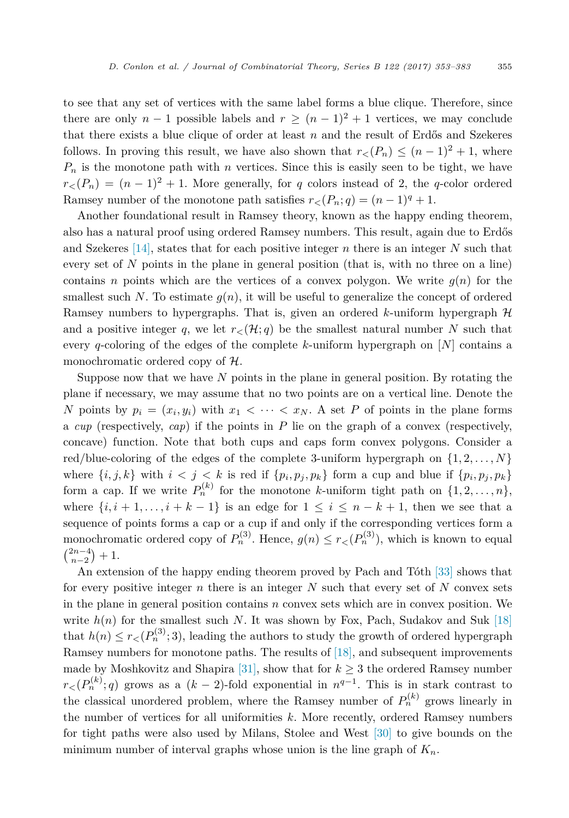to see that any set of vertices with the same label forms a blue clique. Therefore, since there are only  $n-1$  possible labels and  $r \ge (n-1)^2 + 1$  vertices, we may conclude that there exists a blue clique of order at least *n* and the result of Erdős and Szekeres follows. In proving this result, we have also shown that  $r(P<sub>n</sub>) \leq (n-1)^2 + 1$ , where  $P_n$  is the monotone path with *n* vertices. Since this is easily seen to be tight, we have  $r<sub>lt</sub>(P<sub>n</sub>) = (n-1)<sup>2</sup> + 1$ . More generally, for *q* colors instead of 2, the *q*-color ordered Ramsey number of the monotone path satisfies  $r<sub>lt</sub>(P_n; q) = (n-1)^q + 1$ .

Another foundational result in Ramsey theory, known as the happy ending theorem, also has a natural proof using ordered Ramsey numbers. This result, again due to Erdős and Szekeres [\[14\],](#page-29-0) states that for each positive integer *n* there is an integer *N* such that every set of *N* points in the plane in general position (that is, with no three on a line) contains *n* points which are the vertices of a convex polygon. We write  $g(n)$  for the smallest such N. To estimate  $q(n)$ , it will be useful to generalize the concept of ordered Ramsey numbers to hypergraphs. That is, given an ordered *k*-uniform hypergraph H and a positive integer q, we let  $r<(\mathcal{H}; q)$  be the smallest natural number N such that every *q*-coloring of the edges of the complete *k*-uniform hypergraph on [*N*] contains a monochromatic ordered copy of H.

Suppose now that we have *N* points in the plane in general position. By rotating the plane if necessary, we may assume that no two points are on a vertical line. Denote the *N* points by  $p_i = (x_i, y_i)$  with  $x_1 < \cdots < x_N$ . A set *P* of points in the plane forms a *cup* (respectively, *cap*) if the points in *P* lie on the graph of a convex (respectively, concave) function. Note that both cups and caps form convex polygons. Consider a red/blue-coloring of the edges of the complete 3-uniform hypergraph on  $\{1, 2, \ldots, N\}$ where  $\{i, j, k\}$  with  $i < j < k$  is red if  $\{p_i, p_j, p_k\}$  form a cup and blue if  $\{p_i, p_j, p_k\}$ form a cap. If we write  $P_n^{(k)}$  for the monotone *k*-uniform tight path on  $\{1, 2, \ldots, n\}$ , where  $\{i, i+1, \ldots, i+k-1\}$  is an edge for  $1 \leq i \leq n-k+1$ , then we see that a sequence of points forms a cap or a cup if and only if the corresponding vertices form a monochromatic ordered copy of  $P_n^{(3)}$ . Hence,  $g(n) \le r < (P_n^{(3)})$ , which is known to equal  $\binom{2n-4}{n-2}+1.$ 

An extension of the happy ending theorem proved by Pach and Tóth [\[33\]](#page-30-0) shows that for every positive integer *n* there is an integer *N* such that every set of *N* convex sets in the plane in general position contains *n* convex sets which are in convex position. We write  $h(n)$  for the smallest such *N*. It was shown by Fox, Pach, Sudakov and Suk [\[18\]](#page-29-0) that  $h(n) \leq r \leq (P_n^{(3)}; 3)$ , leading the authors to study the growth of ordered hypergraph Ramsey numbers for monotone paths. The results of [\[18\],](#page-29-0) and subsequent improvements made by Moshkovitz and Shapira [\[31\],](#page-29-0) show that for  $k \geq 3$  the ordered Ramsey number  $r<sub>≤</sub>(P_n^{(k)}; q)$  grows as a (*k* − 2)-fold exponential in  $n<sup>q-1</sup>$ . This is in stark contrast to the classical unordered problem, where the Ramsey number of  $P_n^{(k)}$  grows linearly in the number of vertices for all uniformities *k*. More recently, ordered Ramsey numbers for tight paths were also used by Milans, Stolee and West [\[30\]](#page-29-0) to give bounds on the minimum number of interval graphs whose union is the line graph of  $K_n$ .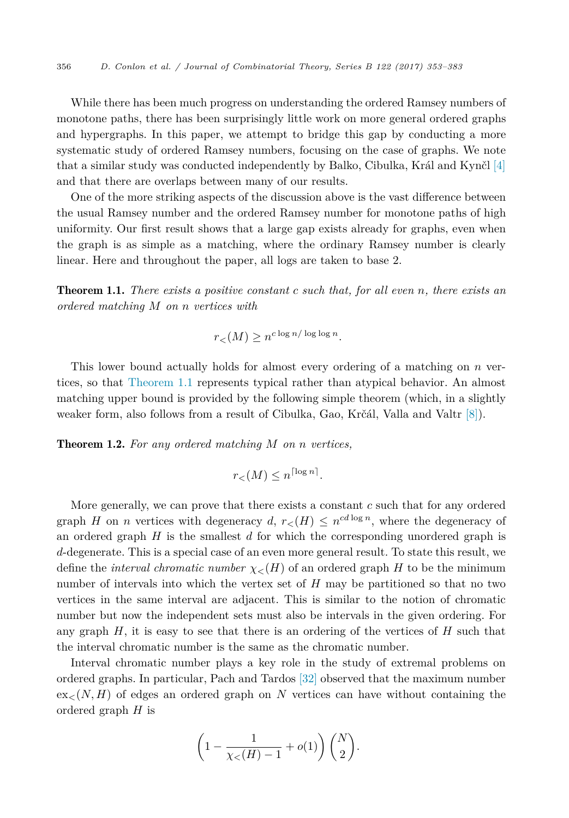<span id="page-3-0"></span>While there has been much progress on understanding the ordered Ramsey numbers of monotone paths, there has been surprisingly little work on more general ordered graphs and hypergraphs. In this paper, we attempt to bridge this gap by conducting a more systematic study of ordered Ramsey numbers, focusing on the case of graphs. We note that a similar study was conducted independently by Balko, Cibulka, Král and Kynčl [\[4\]](#page-29-0) and that there are overlaps between many of our results.

One of the more striking aspects of the discussion above is the vast difference between the usual Ramsey number and the ordered Ramsey number for monotone paths of high uniformity. Our first result shows that a large gap exists already for graphs, even when the graph is as simple as a matching, where the ordinary Ramsey number is clearly linear. Here and throughout the paper, all logs are taken to base 2.

Theorem 1.1. *There exists a positive constant c such that, for all even n, there exists an ordered matching M on n vertices with*

$$
r_{<} (M) \ge n^{c \log n / \log \log n}.
$$

This lower bound actually holds for almost every ordering of a matching on *n* vertices, so that Theorem 1.1 represents typical rather than atypical behavior. An almost matching upper bound is provided by the following simple theorem (which, in a slightly weaker form, also follows from a result of Cibulka, Gao, Krčál, Valla and Valtr [\[8\]\)](#page-29-0).

Theorem 1.2. *For any ordered matching M on n vertices,*

$$
r_<(M) \le n^{\lceil \log n \rceil}.
$$

More generally, we can prove that there exists a constant *c* such that for any ordered graph *H* on *n* vertices with degeneracy *d*,  $r<sub>lt</sub>(H) \leq n^{cd \log n}$ , where the degeneracy of an ordered graph *H* is the smallest *d* for which the corresponding unordered graph is *d*-degenerate. This is a special case of an even more general result. To state this result, we define the *interval chromatic number*  $\chi$ <sup> $\lt$ (*H*) of an ordered graph *H* to be the minimum</sup> number of intervals into which the vertex set of *H* may be partitioned so that no two vertices in the same interval are adjacent. This is similar to the notion of chromatic number but now the independent sets must also be intervals in the given ordering. For any graph *H*, it is easy to see that there is an ordering of the vertices of *H* such that the interval chromatic number is the same as the chromatic number.

Interval chromatic number plays a key role in the study of extremal problems on ordered graphs. In particular, Pach and Tardos [\[32\]](#page-30-0) observed that the maximum number  $ex_{\le}(N, H)$  of edges an ordered graph on N vertices can have without containing the ordered graph *H* is

$$
\left(1 - \frac{1}{\chi_{<}(H) - 1} + o(1)\right) \binom{N}{2}.
$$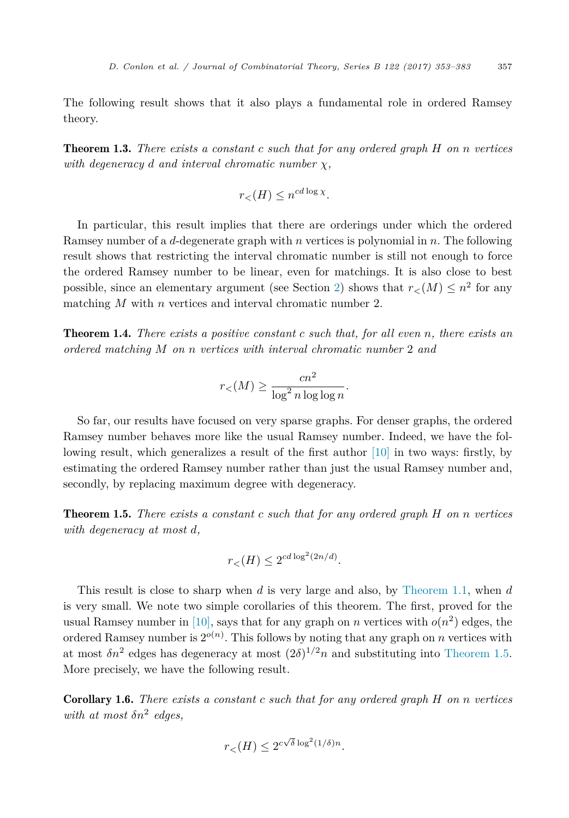<span id="page-4-0"></span>The following result shows that it also plays a fundamental role in ordered Ramsey theory.

Theorem 1.3. *There exists a constant c such that for any ordered graph H on n vertices with degeneracy d and interval chromatic number χ,*

$$
r_{<} (H) \leq n^{cd \log \chi}.
$$

In particular, this result implies that there are orderings under which the ordered Ramsey number of a *d*-degenerate graph with *n* vertices is polynomial in *n*. The following result shows that restricting the interval chromatic number is still not enough to force the ordered Ramsey number to be linear, even for matchings. It is also close to best possible, since an elementary argument (see Section [2\)](#page-6-0) shows that  $r<sub>lt</sub>(M) \leq n^2$  for any matching *M* with *n* vertices and interval chromatic number 2.

Theorem 1.4. *There exists a positive constant c such that, for all even n, there exists an ordered matching M on n vertices with interval chromatic number* 2 *and*

$$
r_{<}(M) \ge \frac{cn^2}{\log^2 n \log \log n}.
$$

So far, our results have focused on very sparse graphs. For denser graphs, the ordered Ramsey number behaves more like the usual Ramsey number. Indeed, we have the following result, which generalizes a result of the first author [\[10\]](#page-29-0) in two ways: firstly, by estimating the ordered Ramsey number rather than just the usual Ramsey number and, secondly, by replacing maximum degree with degeneracy.

Theorem 1.5. *There exists a constant c such that for any ordered graph H on n vertices with degeneracy at most d,*

$$
rlt(H) \leq 2^{cd \log^2(2n/d)}.
$$

This result is close to sharp when *d* is very large and also, by [Theorem 1.1,](#page-3-0) when *d* is very small. We note two simple corollaries of this theorem. The first, proved for the usual Ramsey number in [\[10\],](#page-29-0) says that for any graph on *n* vertices with  $o(n^2)$  edges, the ordered Ramsey number is  $2^{o(n)}$ . This follows by noting that any graph on *n* vertices with at most  $\delta n^2$  edges has degeneracy at most  $(2\delta)^{1/2}n$  and substituting into Theorem 1.5. More precisely, we have the following result.

Corollary 1.6. *There exists a constant c such that for any ordered graph H on n vertices with at most δn*<sup>2</sup> *edges,*

$$
r_{<}(H) \leq 2^{c\sqrt{\delta}\log^2(1/\delta)n}.
$$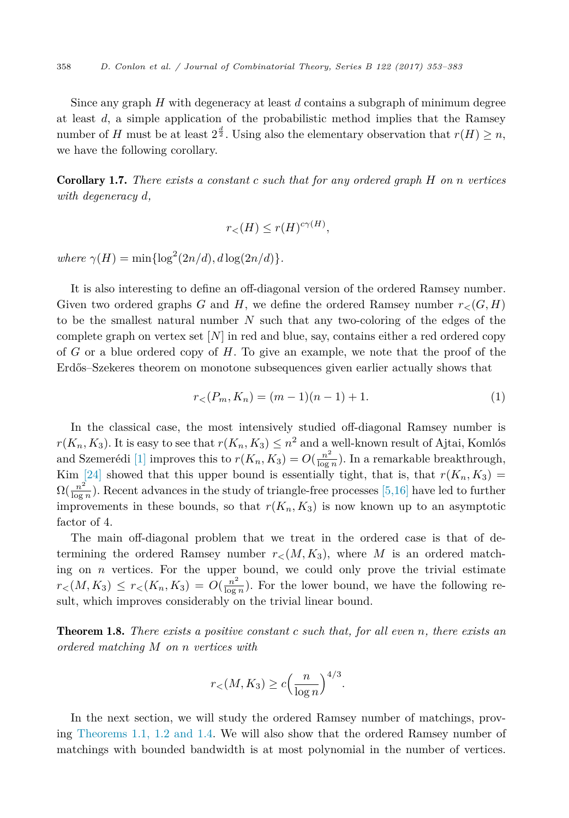<span id="page-5-0"></span>Since any graph *H* with degeneracy at least *d* contains a subgraph of minimum degree at least *d*, a simple application of the probabilistic method implies that the Ramsey number of *H* must be at least  $2^{\frac{d}{2}}$ . Using also the elementary observation that  $r(H) \geq n$ , we have the following corollary.

Corollary 1.7. *There exists a constant c such that for any ordered graph H on n vertices with degeneracy d,*

$$
r_{<} (H) \le r(H)^{c\gamma(H)},
$$

 $where \gamma(H) = \min\{\log^2(2n/d), d\log(2n/d)\}.$ 

It is also interesting to define an off-diagonal version of the ordered Ramsey number. Given two ordered graphs *G* and *H*, we define the ordered Ramsey number  $r<sub>≤</sub>(G, H)$ to be the smallest natural number *N* such that any two-coloring of the edges of the complete graph on vertex set [*N*] in red and blue, say, contains either a red ordered copy of *G* or a blue ordered copy of *H*. To give an example, we note that the proof of the Erdős–Szekeres theorem on monotone subsequences given earlier actually shows that

$$
r_{\lt}(P_m, K_n) = (m-1)(n-1) + 1. \tag{1}
$$

In the classical case, the most intensively studied off-diagonal Ramsey number is  $r(K_n, K_3)$ . It is easy to see that  $r(K_n, K_3) \leq n^2$  and a well-known result of Ajtai, Komlós and Szemerédi [\[1\]](#page-29-0) improves this to  $r(K_n, K_3) = O(\frac{n^2}{\log n})$ . In a remarkable breakthrough, Kim [\[24\]](#page-29-0) showed that this upper bound is essentially tight, that is, that  $r(K_n, K_3)$  =  $\Omega(\frac{n^2}{\log n})$ . Recent advances in the study of triangle-free processes [\[5,16\]](#page-29-0) have led to further improvements in these bounds, so that  $r(K_n, K_3)$  is now known up to an asymptotic factor of 4.

The main off-diagonal problem that we treat in the ordered case is that of determining the ordered Ramsey number  $r<sub>lt</sub>(M, K<sub>3</sub>)$ , where M is an ordered matching on *n* vertices. For the upper bound, we could only prove the trivial estimate  $r<sub>lt</sub>(M, K_3) \leq r<sub>lt</sub>(K_n, K_3) = O(\frac{n^2}{\log n})$ . For the lower bound, we have the following result, which improves considerably on the trivial linear bound.

Theorem 1.8. *There exists a positive constant c such that, for all even n, there exists an ordered matching M on n vertices with*

$$
r_{<} (M, K_3) \ge c \left(\frac{n}{\log n}\right)^{4/3}.
$$

In the next section, we will study the ordered Ramsey number of matchings, proving [Theorems 1.1,](#page-3-0) 1.2 and 1.4. We will also show that the ordered Ramsey number of matchings with bounded bandwidth is at most polynomial in the number of vertices.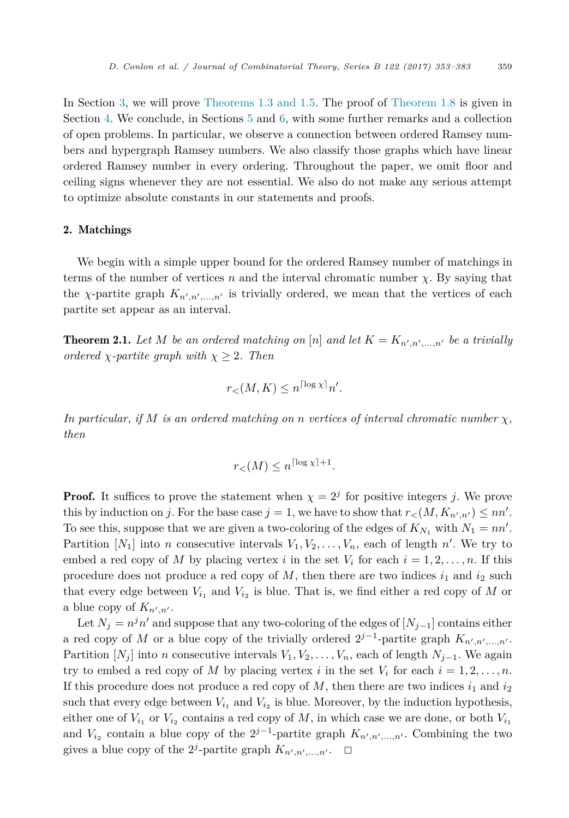<span id="page-6-0"></span>In Section [3,](#page-11-0) we will prove [Theorems 1.3 and](#page-4-0) 1.5. The proof of [Theorem 1.8](#page-5-0) is given in Section [4.](#page-16-0) We conclude, in Sections [5](#page-20-0) and [6,](#page-26-0) with some further remarks and a collection of open problems. In particular, we observe a connection between ordered Ramsey numbers and hypergraph Ramsey numbers. We also classify those graphs which have linear ordered Ramsey number in every ordering. Throughout the paper, we omit floor and ceiling signs whenever they are not essential. We also do not make any serious attempt to optimize absolute constants in our statements and proofs.

# 2. Matchings

We begin with a simple upper bound for the ordered Ramsey number of matchings in terms of the number of vertices *n* and the interval chromatic number  $\chi$ . By saying that the *χ*-partite graph  $K_{n',n',...,n'}$  is trivially ordered, we mean that the vertices of each partite set appear as an interval.

**Theorem 2.1.** Let  $M$  be an ordered matching on  $[n]$  and let  $K = K_{n',n',...,n'}$  be a trivially *ordered*  $\chi$ *-partite graph with*  $\chi \geq 2$ *. Then* 

$$
r_{<} (M, K) \le n^{\lceil \log \chi \rceil} n'.
$$

*In particular, if*  $M$  *is an ordered matching on n vertices of interval chromatic number*  $\chi$ *, then*

$$
r_<(M) \le n^{\lceil \log \chi \rceil + 1}.
$$

**Proof.** It suffices to prove the statement when  $\chi = 2^j$  for positive integers *j*. We prove this by induction on *j*. For the base case  $j = 1$ , we have to show that  $r<$   $(M, K_{n',n'}) \leq nn'$ . To see this, suppose that we are given a two-coloring of the edges of  $K_{N_1}$  with  $N_1 = nn'$ . Partition  $[N_1]$  into *n* consecutive intervals  $V_1, V_2, \ldots, V_n$ , each of length *n*'. We try to embed a red copy of *M* by placing vertex *i* in the set  $V_i$  for each  $i = 1, 2, \ldots, n$ . If this procedure does not produce a red copy of  $M$ , then there are two indices  $i_1$  and  $i_2$  such that every edge between  $V_{i_1}$  and  $V_{i_2}$  is blue. That is, we find either a red copy of M or a blue copy of  $K_{n',n'}$ .

Let  $N_j = n^j n'$  and suppose that any two-coloring of the edges of  $[N_{j-1}]$  contains either a red copy of *M* or a blue copy of the trivially ordered  $2^{j-1}$ -partite graph  $K_{n',n',...,n'}$ . Partition  $[N_i]$  into *n* consecutive intervals  $V_1, V_2, \ldots, V_n$ , each of length  $N_{i-1}$ . We again try to embed a red copy of *M* by placing vertex *i* in the set  $V_i$  for each  $i = 1, 2, \ldots, n$ . If this procedure does not produce a red copy of  $M$ , then there are two indices  $i_1$  and  $i_2$ such that every edge between  $V_{i_1}$  and  $V_{i_2}$  is blue. Moreover, by the induction hypothesis, either one of  $V_{i_1}$  or  $V_{i_2}$  contains a red copy of M, in which case we are done, or both  $V_{i_1}$ and  $V_{i_2}$  contain a blue copy of the  $2^{j-1}$ -partite graph  $K_{n',n',...,n'}$ . Combining the two gives a blue copy of the 2<sup>*j*</sup>-partite graph  $K_{n',n',...,n'}$ .  $\Box$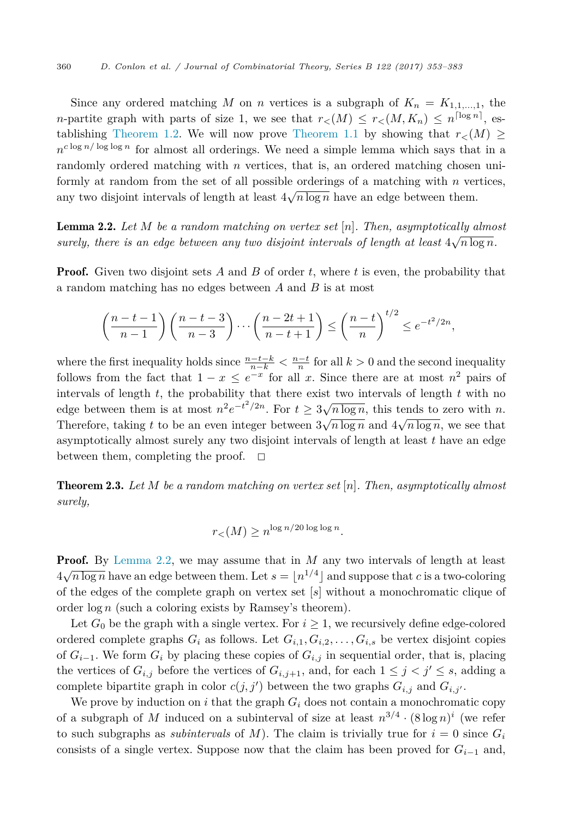<span id="page-7-0"></span>Since any ordered matching *M* on *n* vertices is a subgraph of  $K_n = K_{1,1,\dots,1}$ , the *n*-partite graph with parts of size 1, we see that  $r<sub>lt</sub>(M) \leq r<sub>lt</sub>(M, K_n) \leq n^{\lfloor \log n \rfloor}$ , es-tablishing [Theorem 1.2.](#page-3-0) We will now prove [Theorem 1.1](#page-3-0) by showing that  $r<sub>></sub>(M) \ge$  $n^{c \log n / \log \log n}$  for almost all orderings. We need a simple lemma which says that in a randomly ordered matching with *n* vertices, that is, an ordered matching chosen uniformly at random from the set of all possible orderings of a matching with *n* vertices, any two disjoint intervals of length at least  $4\sqrt{n \log n}$  have an edge between them.

Lemma 2.2. *Let M be a random matching on vertex set* [*n*]*. Then, asymptotically almost surely, there is an edge between any <i>two disjoint intervals of length at least*  $4\sqrt{n \log n}$ *.* 

**Proof.** Given two disjoint sets *A* and *B* of order *t*, where *t* is even, the probability that a random matching has no edges between *A* and *B* is at most

$$
\left(\frac{n-t-1}{n-1}\right)\left(\frac{n-t-3}{n-3}\right)\cdots\left(\frac{n-2t+1}{n-t+1}\right)\leq \left(\frac{n-t}{n}\right)^{t/2}\leq e^{-t^2/2n},
$$

where the first inequality holds since  $\frac{n-t-k}{n-k} < \frac{n-t}{n}$  for all  $k > 0$  and the second inequality follows from the fact that  $1 - x \le e^{-x}$  for all *x*. Since there are at most  $n^2$  pairs of intervals of length *t*, the probability that there exist two intervals of length *t* with no edge between them is at most  $n^2e^{-t^2/2n}$ . For  $t \geq 3\sqrt{n \log n}$ , this tends to zero with *n*. Therefore, taking *t* to be an even integer between  $3\sqrt{n \log n}$  and  $4\sqrt{n \log n}$ , we see that asymptotically almost surely any two disjoint intervals of length at least *t* have an edge between them, completing the proof.  $\Box$ 

Theorem 2.3. *Let M be a random matching on vertex set* [*n*]*. Then, asymptotically almost surely,*

$$
r_{<} (M) \ge n^{\log n/20 \log \log n}.
$$

**Proof.** By Lemma 2.2, we may assume that in *M* any two intervals of length at least  $4\sqrt{n \log n}$  have an edge between them. Let  $s = \lfloor n^{1/4} \rfloor$  and suppose that *c* is a two-coloring of the edges of the complete graph on vertex set [*s*] without a monochromatic clique of order log *n* (such a coloring exists by Ramsey's theorem).

Let  $G_0$  be the graph with a single vertex. For  $i \geq 1$ , we recursively define edge-colored ordered complete graphs  $G_i$  as follows. Let  $G_{i,1}, G_{i,2}, \ldots, G_{i,s}$  be vertex disjoint copies of  $G_{i-1}$ . We form  $G_i$  by placing these copies of  $G_{i,j}$  in sequential order, that is, placing the vertices of  $G_{i,j}$  before the vertices of  $G_{i,j+1}$ , and, for each  $1 \leq j \leq j' \leq s$ , adding a complete bipartite graph in color  $c(j, j')$  between the two graphs  $G_{i,j}$  and  $G_{i,j'}$ .

We prove by induction on  $i$  that the graph  $G_i$  does not contain a monochromatic copy of a subgraph of *M* induced on a subinterval of size at least  $n^{3/4} \cdot (8 \log n)^i$  (we refer to such subgraphs as *subintervals* of *M*). The claim is trivially true for  $i = 0$  since  $G_i$ consists of a single vertex. Suppose now that the claim has been proved for  $G_{i-1}$  and,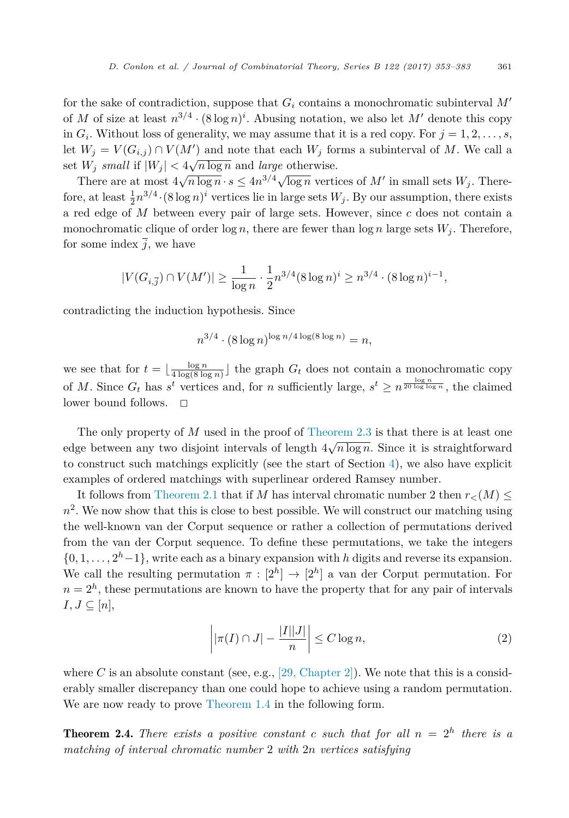<span id="page-8-0"></span>for the sake of contradiction, suppose that  $G_i$  contains a monochromatic subinterval  $M'$ of *M* of size at least  $n^{3/4} \cdot (8 \log n)^i$ . Abusing notation, we also let *M'* denote this copy in  $G_i$ . Without loss of generality, we may assume that it is a red copy. For  $j = 1, 2, \ldots, s$ , let  $W_j = V(G_{i,j}) \cap V(M')$  and note that each  $W_j$  forms a subinterval of M. We call a set  $W_j$  *small* if  $|W_j| < 4\sqrt{n \log n}$  and *large* otherwise.

There are at most  $4\sqrt{n \log n} \cdot s \le 4n^{3/4}\sqrt{\log n}$  vertices of M' in small sets  $W_j$ . Therefore, at least  $\frac{1}{2}n^{3/4} \cdot (8 \log n)^i$  vertices lie in large sets  $W_j$ . By our assumption, there exists a red edge of *M* between every pair of large sets. However, since *c* does not contain a monochromatic clique of order  $\log n$ , there are fewer than  $\log n$  large sets  $W_i$ . Therefore, for some index  $\overline{j}$ , we have

$$
|V(G_{i,\overline{j}}) \cap V(M')| \ge \frac{1}{\log n} \cdot \frac{1}{2} n^{3/4} (8 \log n)^{i} \ge n^{3/4} \cdot (8 \log n)^{i-1},
$$

contradicting the induction hypothesis. Since

$$
n^{3/4} \cdot (8 \log n)^{\log n/4 \log(8 \log n)} = n,
$$

we see that for  $t = \lfloor \frac{\log n}{4 \log(8 \log n)} \rfloor$  the graph  $G_t$  does not contain a monochromatic copy of *M*. Since  $G_t$  has  $s^t$  vertices and, for *n* sufficiently large,  $s^t \geq n^{\frac{\log n}{20 \log \log n}}$ , the claimed lower bound follows.  $\square$ 

The only property of *M* used in the proof of [Theorem 2.3](#page-7-0) is that there is at least one edge between any two disjoint intervals of length  $4\sqrt{n \log n}$ . Since it is straightforward to construct such matchings explicitly (see the start of Section [4\)](#page-16-0), we also have explicit examples of ordered matchings with superlinear ordered Ramsey number.

It follows from [Theorem 2.1](#page-6-0) that if *M* has interval chromatic number 2 then  $r<sub>lt</sub>(M) \le$  $n<sup>2</sup>$ . We now show that this is close to best possible. We will construct our matching using the well-known van der Corput sequence or rather a collection of permutations derived from the van der Corput sequence. To define these permutations, we take the integers {0*,* <sup>1</sup>*, ...,* <sup>2</sup>*<sup>h</sup>*−1}, write each as <sup>a</sup> binary expansion with *<sup>h</sup>* digits and reverse its expansion. We call the resulting permutation  $\pi : [2^h] \to [2^h]$  a van der Corput permutation. For  $n = 2<sup>h</sup>$ , these permutations are known to have the property that for any pair of intervals  $I, J \subseteq [n],$ 

$$
\left| |\pi(I) \cap J| - \frac{|I||J|}{n} \right| \le C \log n, \tag{2}
$$

where *C* is an absolute constant (see, e.g., [29, [Chapter](#page-29-0) 2]). We note that this is a considerably smaller discrepancy than one could hope to achieve using a random permutation. We are now ready to prove [Theorem 1.4](#page-4-0) in the following form.

**Theorem 2.4.** *There exists a positive constant c such that for all*  $n = 2<sup>h</sup>$  *there is a matching of interval chromatic number* 2 *with* 2*n vertices satisfying*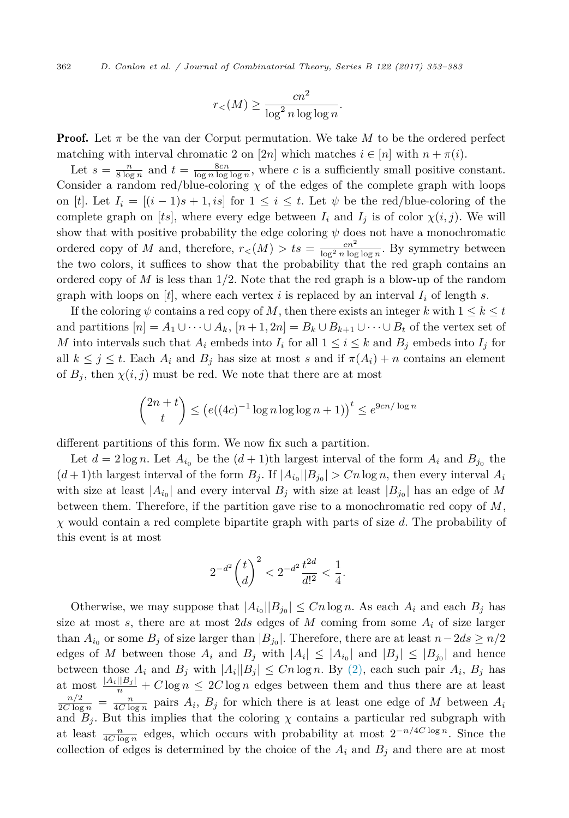362 *D. Conlon et al. / Journal of Combinatorial Theory, Series B 122 (2017) 353–383*

$$
r_{<} (M) \ge \frac{cn^2}{\log^2 n \log \log n}.
$$

**Proof.** Let  $\pi$  be the van der Corput permutation. We take  $M$  to be the ordered perfect matching with interval chromatic 2 on [2*n*] which matches  $i \in [n]$  with  $n + \pi(i)$ .

Let  $s = \frac{n}{8 \log n}$  and  $t = \frac{8cn}{\log n \log \log n}$ , where *c* is a sufficiently small positive constant. Consider a random red/blue-coloring  $\chi$  of the edges of the complete graph with loops on  $[t]$ . Let  $I_i = [(i-1)s+1, is]$  for  $1 \leq i \leq t$ . Let  $\psi$  be the red/blue-coloring of the complete graph on [ts], where every edge between  $I_i$  and  $I_j$  is of color  $\chi(i,j)$ . We will show that with positive probability the edge coloring  $\psi$  does not have a monochromatic ordered copy of *M* and, therefore,  $r<sub>lt</sub>(M) > ts = \frac{cn^2}{\log^2 n \log \log n}$ . By symmetry between the two colors, it suffices to show that the probability that the red graph contains an ordered copy of *M* is less than 1*/*2. Note that the red graph is a blow-up of the random graph with loops on  $[t]$ , where each vertex *i* is replaced by an interval  $I_i$  of length *s*.

If the coloring  $\psi$  contains a red copy of *M*, then there exists an integer *k* with  $1 \leq k \leq t$ and partitions  $[n] = A_1 \cup \cdots \cup A_k$ ,  $[n+1, 2n] = B_k \cup B_{k+1} \cup \cdots \cup B_t$  of the vertex set of *M* into intervals such that  $A_i$  embeds into  $I_i$  for all  $1 \leq i \leq k$  and  $B_j$  embeds into  $I_j$  for all  $k \leq j \leq t$ . Each  $A_i$  and  $B_j$  has size at most *s* and if  $\pi(A_i) + n$  contains an element of  $B_j$ , then  $\chi(i, j)$  must be red. We note that there are at most

$$
\binom{2n+t}{t} \le \left(e((4c)^{-1}\log n \log\log n + 1)\right)^t \le e^{9cn/\log n}
$$

different partitions of this form. We now fix such a partition.

Let  $d = 2 \log n$ . Let  $A_{i_0}$  be the  $(d+1)$ th largest interval of the form  $A_i$  and  $B_{j_0}$  the  $(d+1)$ th largest interval of the form  $B_j$ . If  $|A_{i_0}||B_{j_0}| > Cn \log n$ , then every interval  $A_i$ with size at least  $|A_{i_0}|$  and every interval  $B_j$  with size at least  $|B_{j_0}|$  has an edge of M between them. Therefore, if the partition gave rise to a monochromatic red copy of *M*, *χ* would contain a red complete bipartite graph with parts of size *d*. The probability of this event is at most

$$
2^{-d^2} \binom{t}{d}^2 < 2^{-d^2} \frac{t^{2d}}{d!^2} < \frac{1}{4}.
$$

Otherwise, we may suppose that  $|A_{i_0}||B_{i_0}| \leq Cn \log n$ . As each  $A_i$  and each  $B_i$  has size at most  $s$ , there are at most  $2ds$  edges of  $M$  coming from some  $A_i$  of size larger than  $A_{i_0}$  or some  $B_j$  of size larger than  $|B_{i_0}|$ . Therefore, there are at least  $n-2ds \geq n/2$ edges of *M* between those  $A_i$  and  $B_j$  with  $|A_i| \leq |A_{i_0}|$  and  $|B_j| \leq |B_{i_0}|$  and hence between those  $A_i$  and  $B_j$  with  $|A_i||B_j| \leq Cn \log n$ . By [\(2\),](#page-8-0) each such pair  $A_i$ ,  $B_j$  has at most  $\frac{|A_i||B_j|}{n} + C \log n \leq 2C \log n$  edges between them and thus there are at least  $\frac{n/2}{2C \log n} = \frac{n}{4C \log n}$  pairs  $A_i$ ,  $B_j$  for which there is at least one edge of *M* between  $A_i$ and  $B_j$ . But this implies that the coloring  $\chi$  contains a particular red subgraph with at least  $\frac{n}{4C \log n}$  edges, which occurs with probability at most  $2^{-n/4C \log n}$ . Since the collection of edges is determined by the choice of the  $A_i$  and  $B_j$  and there are at most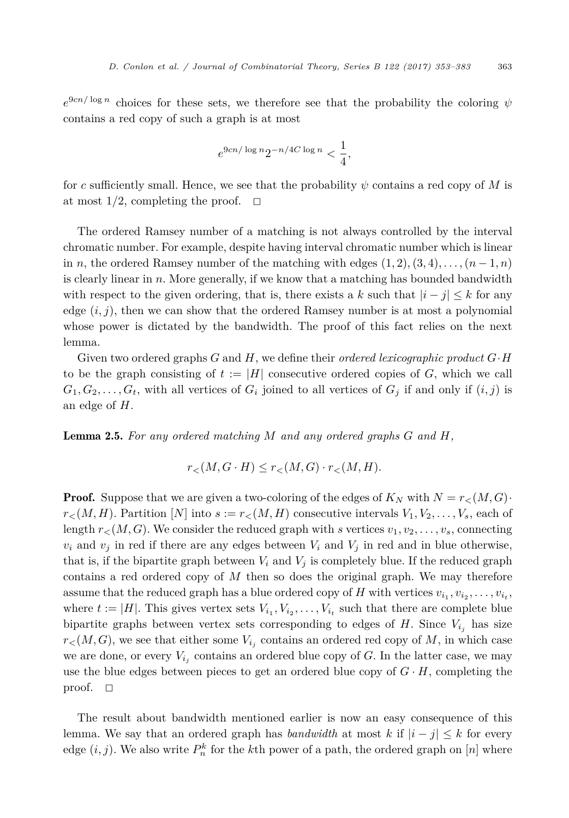<span id="page-10-0"></span> $e^{9cn/\log n}$  choices for these sets, we therefore see that the probability the coloring  $\psi$ contains a red copy of such a graph is at most

$$
e^{9cn/\log n}2^{-n/4C\log n} < \frac{1}{4},
$$

for *c* sufficiently small. Hence, we see that the probability  $\psi$  contains a red copy of M is at most  $1/2$ , completing the proof.  $\Box$ 

The ordered Ramsey number of a matching is not always controlled by the interval chromatic number. For example, despite having interval chromatic number which is linear in *n*, the ordered Ramsey number of the matching with edges  $(1, 2), (3, 4), \ldots, (n-1, n)$ is clearly linear in *n*. More generally, if we know that a matching has bounded bandwidth with respect to the given ordering, that is, there exists a k such that  $|i - j| \leq k$  for any edge  $(i, j)$ , then we can show that the ordered Ramsey number is at most a polynomial whose power is dictated by the bandwidth. The proof of this fact relies on the next lemma.

Given two ordered graphs *G* and *H*, we define their *ordered lexicographic product G*·*H* to be the graph consisting of  $t := |H|$  consecutive ordered copies of *G*, which we call  $G_1, G_2, \ldots, G_t$ , with all vertices of  $G_i$  joined to all vertices of  $G_j$  if and only if  $(i, j)$  is an edge of *H*.

Lemma 2.5. *For any ordered matching M and any ordered graphs G and H,*

$$
r_{<} (M, G \cdot H) \le r_{<} (M, G) \cdot r_{<} (M, H).
$$

**Proof.** Suppose that we are given a two-coloring of the edges of  $K_N$  with  $N = r<sub>lt</sub>(M, G)$ .  $r<sub>lt</sub>(M, H)$ . Partition [*N*] into  $s := r<sub>lt</sub>(M, H)$  consecutive intervals  $V_1, V_2, \ldots, V_s$ , each of length  $r<sub>lt</sub>(M, G)$ . We consider the reduced graph with *s* vertices  $v_1, v_2, \ldots, v_s$ , connecting  $v_i$  and  $v_j$  in red if there are any edges between  $V_i$  and  $V_j$  in red and in blue otherwise, that is, if the bipartite graph between  $V_i$  and  $V_j$  is completely blue. If the reduced graph contains a red ordered copy of *M* then so does the original graph. We may therefore assume that the reduced graph has a blue ordered copy of *H* with vertices  $v_i, v_{i_2}, \ldots, v_{i_t}$ , where  $t := |H|$ . This gives vertex sets  $V_{i_1}, V_{i_2}, \ldots, V_{i_t}$  such that there are complete blue bipartite graphs between vertex sets corresponding to edges of  $H$ . Since  $V_{i_j}$  has size  $r<sub>lt</sub>(M, G)$ , we see that either some  $V_{i_j}$  contains an ordered red copy of M, in which case we are done, or every  $V_{i_j}$  contains an ordered blue copy of  $G$ . In the latter case, we may use the blue edges between pieces to get an ordered blue copy of  $G \cdot H$ , completing the proof.  $\square$ 

The result about bandwidth mentioned earlier is now an easy consequence of this lemma. We say that an ordered graph has *bandwidth* at most *k* if  $|i - j| \leq k$  for every edge  $(i, j)$ . We also write  $P_n^k$  for the *k*<sup>th</sup> power of a path, the ordered graph on  $[n]$  where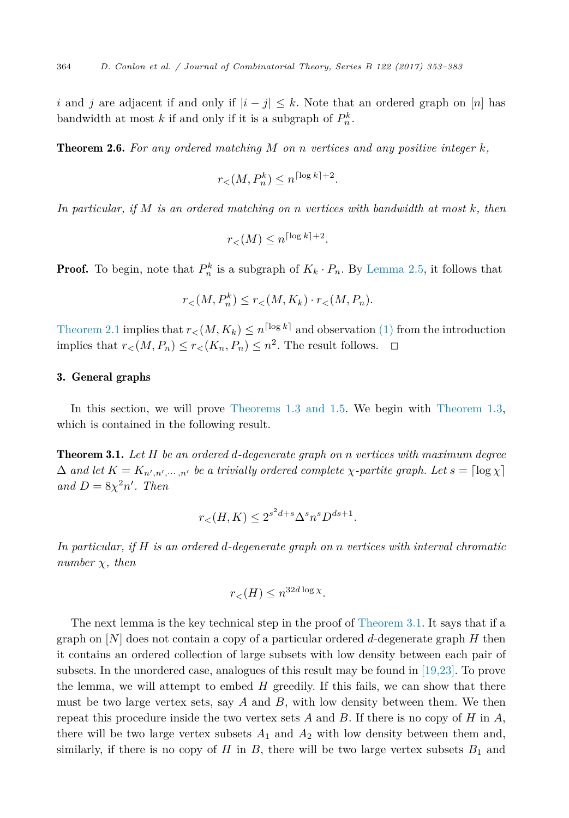<span id="page-11-0"></span>*i* and *j* are adjacent if and only if  $|i - j| \leq k$ . Note that an ordered graph on [*n*] has bandwidth at most  $k$  if and only if it is a subgraph of  $P_n^k$ .

Theorem 2.6. *For any ordered matching M on n vertices and any positive integer k,*

$$
r_{<} (M, P_n^k) \le n^{\lceil \log k \rceil + 2}.
$$

*In particular, if M is an ordered matching on n vertices with bandwidth at most k, then*

$$
r_<(M) \le n^{\lceil \log k \rceil + 2}.
$$

**Proof.** To begin, note that  $P_n^k$  is a subgraph of  $K_k \cdot P_n$ . By [Lemma 2.5,](#page-10-0) it follows that

$$
r_{<} (M, P_n^k) \le r_{<} (M, K_k) \cdot r_{<} (M, P_n).
$$

[Theorem 2.1](#page-6-0) implies that  $r<$   $(M, K_k)$   $\leq n^{\lceil \log k \rceil}$  and observation [\(1\)](#page-5-0) from the introduction implies that  $r<sub>lt</sub>(M, P_n) \leq r<sub>lt</sub>(K_n, P_n) \leq n^2$ . The result follows.  $\Box$ 

## 3. General graphs

In this section, we will prove [Theorems 1.3 and 1.5.](#page-4-0) We begin with [Theorem 1.3,](#page-4-0) which is contained in the following result.

Theorem 3.1. *Let H be an ordered d-degenerate graph on n vertices with maximum degree*  $\Delta$  and let  $K = K_{n',n',\dots,n'}$  be a trivially ordered complete  $\chi$ -partite graph. Let  $s = \lceil \log \chi \rceil$ *and*  $D = 8\chi^2 n'$ *. Then* 

$$
rlt(H, K) \le 2^{s^2d + s} \Delta^s n^s D^{ds+1}.
$$

*In particular, if H is an ordered d-degenerate graph on n vertices with interval chromatic number χ, then*

$$
r_{<} (H) \le n^{32d \log \chi}.
$$

The next lemma is the key technical step in the proof of Theorem 3.1. It says that if a graph on [*N*] does not contain a copy of a particular ordered *d*-degenerate graph *H* then it contains an ordered collection of large subsets with low density between each pair of subsets. In the unordered case, analogues of this result may be found in [\[19,23\].](#page-29-0) To prove the lemma, we will attempt to embed *H* greedily. If this fails, we can show that there must be two large vertex sets, say *A* and *B*, with low density between them. We then repeat this procedure inside the two vertex sets *A* and *B*. If there is no copy of *H* in *A*, there will be two large vertex subsets  $A_1$  and  $A_2$  with low density between them and, similarly, if there is no copy of  $H$  in  $B$ , there will be two large vertex subsets  $B_1$  and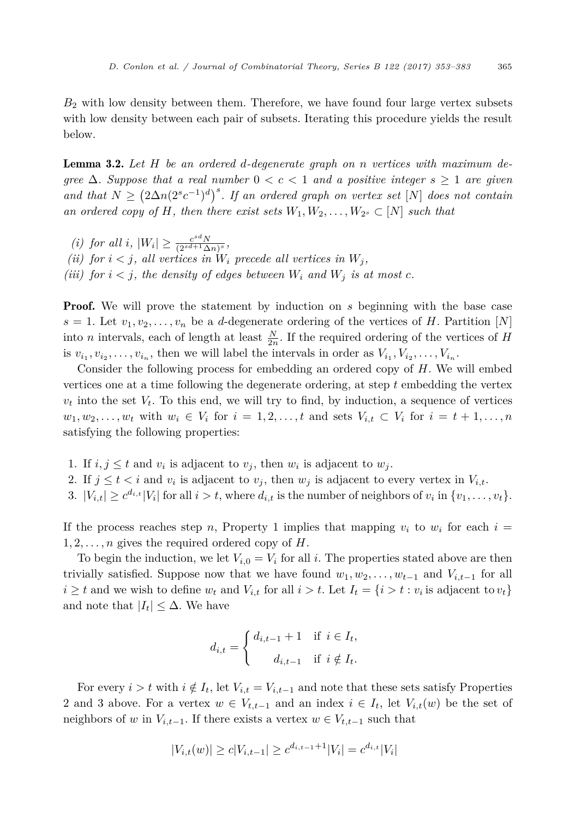<span id="page-12-0"></span>*B*<sup>2</sup> with low density between them. Therefore, we have found four large vertex subsets with low density between each pair of subsets. Iterating this procedure yields the result below.

Lemma 3.2. *Let H be an ordered d-degenerate graph on n vertices with maximum degree*  $\Delta$ *. Suppose that a real number*  $0 < c < 1$  *and a positive integer*  $s \geq 1$  *are given* and that  $N \geq (2\Delta n (2^s c^{-1})^d)^s$ . If an ordered graph on vertex set [N] does not contain *an ordered copy of H, then there exist sets*  $W_1, W_2, \ldots, W_{2^s} \subset [N]$  *such that* 

 $(i)$  for all  $i$ ,  $|W_i| \geq \frac{c^{sd}N}{(2^{sd+1}\Delta n)^s}$ , *(ii)* for  $i < j$ , all vertices in  $W_i$  precede all vertices in  $W_j$ , *(iii)* for  $i < j$ , the density of edges between  $W_i$  and  $W_j$  is at most c.

**Proof.** We will prove the statement by induction on *s* beginning with the base case  $s = 1$ . Let  $v_1, v_2, \ldots, v_n$  be a *d*-degenerate ordering of the vertices of *H*. Partition [*N*] into *n* intervals, each of length at least  $\frac{N}{2n}$ . If the required ordering of the vertices of *H* is  $v_{i_1}, v_{i_2}, \ldots, v_{i_n}$ , then we will label the intervals in order as  $V_{i_1}, V_{i_2}, \ldots, V_{i_n}$ .

Consider the following process for embedding an ordered copy of *H*. We will embed vertices one at a time following the degenerate ordering, at step *t* embedding the vertex  $v_t$  into the set  $V_t$ . To this end, we will try to find, by induction, a sequence of vertices  $w_1, w_2, \ldots, w_t$  with  $w_i \in V_i$  for  $i = 1, 2, \ldots, t$  and sets  $V_{i,t} \subset V_i$  for  $i = t+1, \ldots, n$ satisfying the following properties:

- 1. If  $i, j \leq t$  and  $v_i$  is adjacent to  $v_j$ , then  $w_i$  is adjacent to  $w_j$ .
- 2. If  $j \leq t < i$  and  $v_i$  is adjacent to  $v_j$ , then  $w_j$  is adjacent to every vertex in  $V_{i,t}$ .

3.  $|V_{i,t}| \geq c^{d_{i,t}} |V_i|$  for all  $i > t$ , where  $d_{i,t}$  is the number of neighbors of  $v_i$  in  $\{v_1, \ldots, v_t\}$ .

If the process reaches step *n*, Property 1 implies that mapping  $v_i$  to  $w_i$  for each  $i =$  $1, 2, \ldots, n$  gives the required ordered copy of *H*.

To begin the induction, we let  $V_{i,0} = V_i$  for all *i*. The properties stated above are then trivially satisfied. Suppose now that we have found  $w_1, w_2, \ldots, w_{t-1}$  and  $V_{i,t-1}$  for all  $i \geq t$  and we wish to define  $w_t$  and  $V_{i,t}$  for all  $i > t$ . Let  $I_t = \{i > t : v_i$  is adjacent to  $v_t\}$ and note that  $|I_t| \leq \Delta$ . We have

$$
d_{i,t} = \begin{cases} d_{i,t-1} + 1 & \text{if } i \in I_t, \\ d_{i,t-1} & \text{if } i \notin I_t. \end{cases}
$$

For every  $i > t$  with  $i \notin I_t$ , let  $V_{i,t} = V_{i,t-1}$  and note that these sets satisfy Properties 2 and 3 above. For a vertex  $w \in V_{t,t-1}$  and an index  $i \in I_t$ , let  $V_{i,t}(w)$  be the set of neighbors of *w* in  $V_{i,t-1}$ . If there exists a vertex  $w \in V_{t,t-1}$  such that

$$
|V_{i,t}(w)| \ge c|V_{i,t-1}| \ge c^{d_{i,t-1}+1}|V_i| = c^{d_{i,t}}|V_i|
$$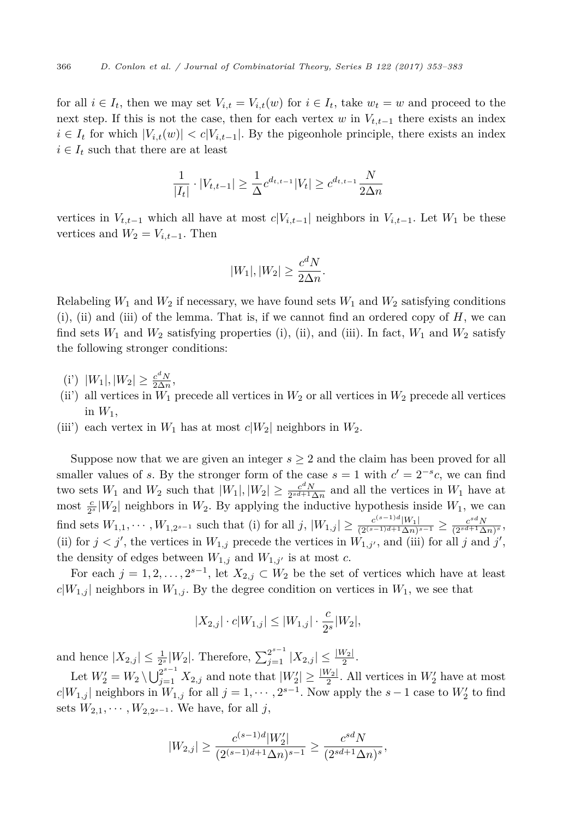for all  $i \in I_t$ , then we may set  $V_{i,t} = V_{i,t}(w)$  for  $i \in I_t$ , take  $w_t = w$  and proceed to the next step. If this is not the case, then for each vertex *w* in  $V_{t,t-1}$  there exists an index  $i \in I_t$  for which  $|V_{i,t}(w)| < c|V_{i,t-1}|$ . By the pigeonhole principle, there exists an index  $i \in I_t$  such that there are at least

$$
\frac{1}{|I_t|} \cdot |V_{t,t-1}| \ge \frac{1}{\Delta} c^{d_{t,t-1}} |V_t| \ge c^{d_{t,t-1}} \frac{N}{2\Delta n}
$$

vertices in  $V_{t,t-1}$  which all have at most  $c|V_{i,t-1}|$  neighbors in  $V_{i,t-1}$ . Let  $W_1$  be these vertices and  $W_2 = V_{i,t-1}$ . Then

$$
|W_1|, |W_2| \ge \frac{c^d N}{2\Delta n}.
$$

Relabeling  $W_1$  and  $W_2$  if necessary, we have found sets  $W_1$  and  $W_2$  satisfying conditions (i), (ii) and (iii) of the lemma. That is, if we cannot find an ordered copy of *H*, we can find sets  $W_1$  and  $W_2$  satisfying properties (i), (ii), and (iii). In fact,  $W_1$  and  $W_2$  satisfy the following stronger conditions:

- $(|i') |W_1|, |W_2| \geq \frac{c^d N}{2\Delta n},$
- (ii) all vertices in  $W_1$  precede all vertices in  $W_2$  or all vertices in  $W_2$  precede all vertices in  $W_1$ ,
- (iii) each vertex in  $W_1$  has at most  $c|W_2|$  neighbors in  $W_2$ .

Suppose now that we are given an integer *s* ≥ 2 and the claim has been proved for all smaller values of *s*. By the stronger form of the case  $s = 1$  with  $c' = 2^{-s}c$ , we can find two sets  $W_1$  and  $W_2$  such that  $|W_1|, |W_2| \ge \frac{c^d N}{2^{sd+1} \Delta n}$  and all the vertices in  $W_1$  have at most  $\frac{c}{2^s} |W_2|$  neighbors in  $W_2$ . By applying the inductive hypothesis inside  $W_1$ , we can  $\text{find sets } W_{1,1}, \cdots, W_{1,2^{s-1}} \text{ such that (i) for all } j, |W_{1,j}| \geq \frac{c^{(s-1)d}|W_1|}{(2^{(s-1)d+1}\Delta n)^{s-1}} \geq \frac{c^{sd}N}{(2^{sd+1}\Delta n)^s},$ (ii) for  $j < j'$ , the vertices in  $W_{1,j}$  precede the vertices in  $W_{1,j'}$ , and (iii) for all *j* and *j'*, the density of edges between  $W_{1,j}$  and  $W_{1,j'}$  is at most *c*.

For each  $j = 1, 2, \ldots, 2^{s-1}$ , let  $X_{2,j} \subset W_2$  be the set of vertices which have at least  $c|W_{1,j}|$  neighbors in  $W_{1,j}$ . By the degree condition on vertices in  $W_1$ , we see that

$$
|X_{2,j}|\cdot c|W_{1,j}|\leq |W_{1,j}|\cdot \frac{c}{2^s}|W_2|,
$$

and hence  $|X_{2,j}| \leq \frac{1}{2^s} |W_2|$ . Therefore,  $\sum_{j=1}^{2^{s-1}} |X_{2,j}| \leq \frac{|W_2|}{2}$ .

Let  $W'_2 = W_2 \setminus \bigcup_{j=1}^{2^{s-1}} X_{2,j}$  and note that  $|W'_2| \ge \frac{|W_2|}{2}$ . All vertices in  $W'_2$  have at most  $c|W_{1,j}|$  neighbors in  $W_{1,j}$  for all  $j = 1, \dots, 2^{s-1}$ . Now apply the  $s - 1$  case to  $W'_2$  to find sets  $W_{2,1}, \cdots, W_{2,2^{s-1}}$ . We have, for all *j*,

$$
|W_{2,j}| \ge \frac{c^{(s-1)d} |W_2'|}{(2^{(s-1)d+1} \Delta n)^{s-1}} \ge \frac{c^{sd}N}{(2^{sd+1} \Delta n)^s},
$$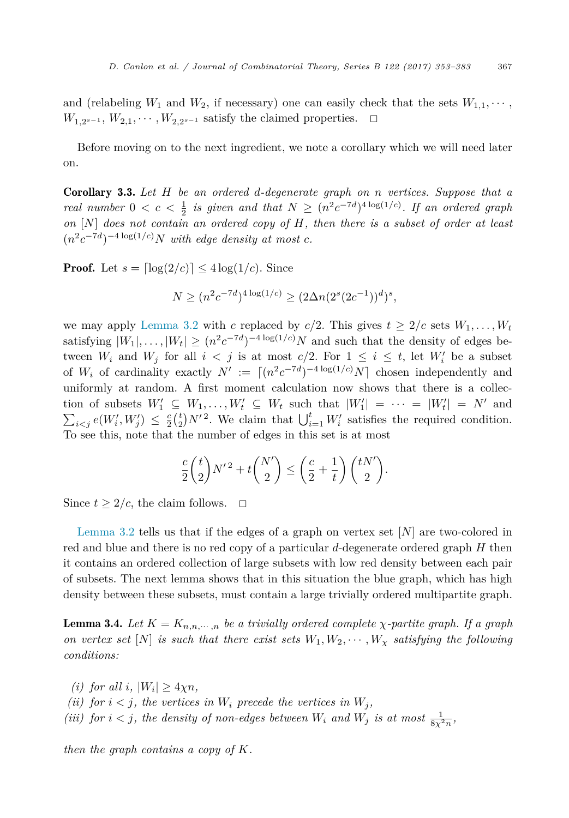<span id="page-14-0"></span>and (relabeling  $W_1$  and  $W_2$ , if necessary) one can easily check that the sets  $W_{1,1}, \dots$  $W_{1,2^{s-1}}, W_{2,1}, \cdots, W_{2,2^{s-1}}$  satisfy the claimed properties.  $\Box$ 

Before moving on to the next ingredient, we note a corollary which we will need later on.

Corollary 3.3. *Let H be an ordered d-degenerate graph on n vertices. Suppose that a real number*  $0 < c < \frac{1}{2}$  *is given and that*  $N \geq (n^2c^{-7d})^4 \log(1/c)$ . If an ordered graph on  $[N]$  does not contain an ordered copy of H, then there is a subset of order at least  $(n^2c^{-7d})^{-4 \log(1/c)}N$  *with edge density at most c*.

**Proof.** Let  $s = \lfloor \log(2/c) \rfloor \leq 4 \log(1/c)$ . Since

$$
N \ge (n^2 c^{-7d})^{4 \log(1/c)} \ge (2\Delta n (2^s (2c^{-1}))^d)^s,
$$

we may apply [Lemma 3.2](#page-12-0) with *c* replaced by  $c/2$ . This gives  $t \geq 2/c$  sets  $W_1, \ldots, W_t$ satisfying  $|W_1|, \ldots, |W_t| \ge (n^2 c^{-7d})^{-4 \log(1/c)} N$  and such that the density of edges between  $W_i$  and  $W_j$  for all  $i < j$  is at most  $c/2$ . For  $1 \leq i \leq t$ , let  $W'_i$  be a subset of  $W_i$  of cardinality exactly  $N' := \lfloor (n^2c^{-7d})^{-4 \log(1/c)} N \rfloor$  chosen independently and uniformly at random. A first moment calculation now shows that there is a collection of subsets  $W'_1 \subseteq W_1, \ldots, W'_t \subseteq W_t$  such that  $|W'_1| = \cdots = |W'_t| = N'$  and  $\sum_{i < j} e(W'_i, W'_j) \leq \frac{c}{2} {t \choose 2} N'^2$ . We claim that  $\bigcup_{i=1}^t W'_i$  satisfies the required condition. To see this, note that the number of edges in this set is at most

$$
\frac{c}{2}\binom{t}{2}N'^2 + t\binom{N'}{2} \le \left(\frac{c}{2} + \frac{1}{t}\right)\binom{tN'}{2}.
$$

Since  $t \geq 2/c$ , the claim follows.  $\Box$ 

[Lemma 3.2](#page-12-0) tells us that if the edges of a graph on vertex set [*N*] are two-colored in red and blue and there is no red copy of a particular *d*-degenerate ordered graph *H* then it contains an ordered collection of large subsets with low red density between each pair of subsets. The next lemma shows that in this situation the blue graph, which has high density between these subsets, must contain a large trivially ordered multipartite graph.

**Lemma 3.4.** Let  $K = K_{n,n,\dots,n}$  be a trivially ordered complete  $\chi$ -partite graph. If a graph on vertex set [N] is such that there exist sets  $W_1, W_2, \cdots, W_{\chi}$  satisfying the following *conditions:*

 $(i)$  *for all*  $i$ ,  $|W_i| \geq 4\chi n$ , *(ii) for*  $i < j$ *, the vertices in*  $W_i$  *precede the vertices in*  $W_j$ *, (iii) for*  $i < j$ *, the density of non-edges between*  $W_i$  *and*  $W_j$  *is at most*  $\frac{1}{8\chi^2 n}$ *,* 

*then the graph contains a copy of K.*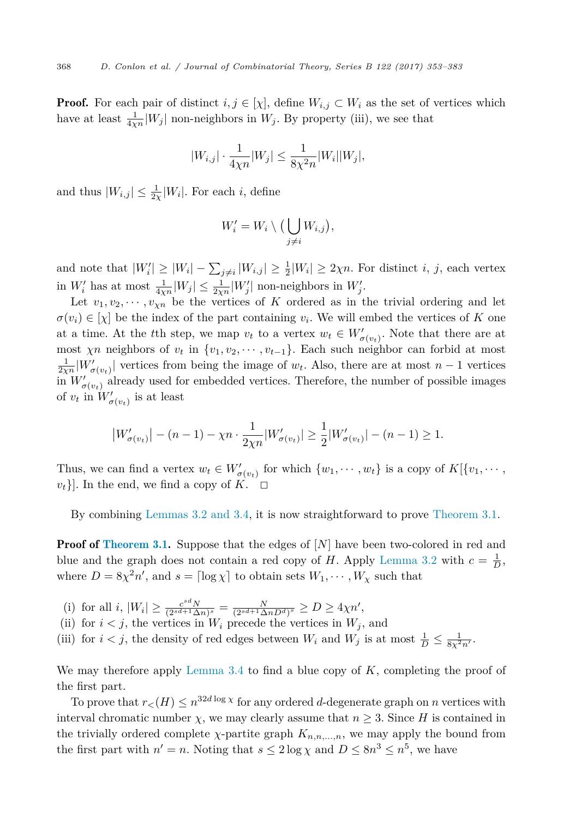**Proof.** For each pair of distinct  $i, j \in [\chi]$ , define  $W_{i,j} \subset W_i$  as the set of vertices which have at least  $\frac{1}{4\chi n}|W_j|$  non-neighbors in  $W_j$ . By property (iii), we see that

$$
|W_{i,j}|\cdot \frac{1}{4\chi n}|W_j|\leq \frac{1}{8\chi^2 n}|W_i||W_j|,
$$

and thus  $|W_{i,j}| \leq \frac{1}{2\chi}|W_i|$ . For each *i*, define

$$
W_i' = W_i \setminus \big(\bigcup_{j \neq i} W_{i,j}\big),
$$

and note that  $|W'_i| \ge |W_i| - \sum_{j \ne i} |W_{i,j}| \ge \frac{1}{2}|W_i| \ge 2\chi n$ . For distinct *i*, *j*, each vertex in  $W_i'$  has at most  $\frac{1}{4\chi n}|W_j| \leq \frac{1}{2\chi n}|W_j'|$  non-neighbors in  $W_j'$ .

Let  $v_1, v_2, \dots, v_{\chi n}$  be the vertices of *K* ordered as in the trivial ordering and let  $\sigma(v_i) \in [\chi]$  be the index of the part containing  $v_i$ . We will embed the vertices of *K* one at a time. At the *t*th step, we map  $v_t$  to a vertex  $w_t \in W'_{\sigma(v_t)}$ . Note that there are at most *χn* neighbors of  $v_t$  in  $\{v_1, v_2, \dots, v_{t-1}\}$ . Each such neighbor can forbid at most  $\frac{1}{2\chi n}|W'_{\sigma(v_t)}|$  vertices from being the image of  $w_t$ . Also, there are at most  $n-1$  vertices in  $W'_{\sigma(v_t)}$  already used for embedded vertices. Therefore, the number of possible images of  $v_t$  in  $W'_{\sigma(v_t)}$  is at least

$$
\left|W'_{\sigma(v_t)}\right| - (n-1) - \chi n \cdot \frac{1}{2\chi n} |W'_{\sigma(v_t)}| \ge \frac{1}{2} |W'_{\sigma(v_t)}| - (n-1) \ge 1.
$$

Thus, we can find a vertex  $w_t \in W'_{\sigma(v_t)}$  for which  $\{w_1, \dots, w_t\}$  is a copy of  $K[\{v_1, \dots, v_t\}]$  $v_t$ }. In the end, we find a copy of *K*.

By combining [Lemmas 3.2 and](#page-12-0) 3.4, it is now straightforward to prove [Theorem 3.1.](#page-11-0)

**Proof of [Theorem 3.1.](#page-11-0)** Suppose that the edges of [*N*] have been two-colored in red and blue and the graph does not contain a red copy of *H*. Apply [Lemma 3.2](#page-12-0) with  $c = \frac{1}{D}$ , where  $D = 8\chi^2 n'$ , and  $s = \lfloor \log \chi \rfloor$  to obtain sets  $W_1, \dots, W_\chi$  such that

- (i) for all  $i, |W_i| \geq \frac{c^{sd}N}{(2^{sd+1}\Delta n)^s} = \frac{N}{(2^{sd+1}\Delta n D^d)^s} \geq D \geq 4\chi n'$ ,
- (ii) for  $i < j$ , the vertices in  $W_i$  precede the vertices in  $W_i$ , and

(iii) for  $i < j$ , the density of red edges between  $W_i$  and  $W_j$  is at most  $\frac{1}{D} \leq \frac{1}{8\chi^2 n'}$ .

We may therefore apply [Lemma 3.4](#page-14-0) to find a blue copy of *K*, completing the proof of the first part.

To prove that  $r<sub>lt</sub>(H) \leq n^{32d \log \chi}$  for any ordered *d*-degenerate graph on *n* vertices with interval chromatic number  $\chi$ , we may clearly assume that  $n \geq 3$ . Since *H* is contained in the trivially ordered complete *χ*-partite graph  $K_{n,n,\dots,n}$ , we may apply the bound from the first part with  $n' = n$ . Noting that  $s \leq 2 \log \chi$  and  $D \leq 8n^3 \leq n^5$ , we have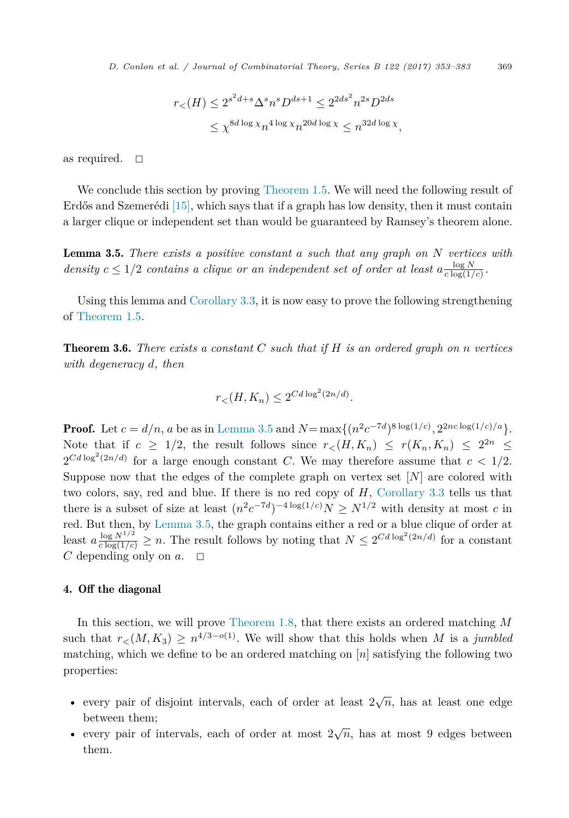$$
r<(H) \le 2^{s^2d+s} \Delta^s n^s D^{ds+1} \le 2^{2ds^2} n^{2s} D^{2ds}
$$
  

$$
\le \chi^{8d \log \chi} n^{4 \log \chi} n^{20d \log \chi} \le n^{32d \log \chi},
$$

<span id="page-16-0"></span>as required.  $\square$ 

We conclude this section by proving [Theorem 1.5.](#page-4-0) We will need the following result of Erdős and Szemerédi [\[15\],](#page-29-0) which says that if a graph has low density, then it must contain a larger clique or independent set than would be guaranteed by Ramsey's theorem alone.

Lemma 3.5. *There exists a positive constant a such that any graph on N vertices with* density  $c \leq 1/2$  contains a clique or an independent set of order at least  $a \frac{\log N}{c \log(1/c)}$ .

Using this lemma and [Corollary 3.3,](#page-14-0) it is now easy to prove the following strengthening of [Theorem 1.5.](#page-4-0)

Theorem 3.6. *There exists a constant C such that if H is an ordered graph on n vertices with degeneracy d, then*

$$
r_{<} (H, K_n) \leq 2^{Cd \log^2(2n/d)}.
$$

**Proof.** Let  $c = d/n$ ,  $a$  be as in Lemma 3.5 and  $N = \max\{(n^2c^{-7d})^8 \log(1/c), 2^{2nc \log(1/c)/a}\}.$ Note that if  $c \geq 1/2$ , the result follows since  $r<sub>lt</sub>(H, K_n) \leq r(K_n, K_n) \leq 2^{2n} \leq$  $2^{Cd \log^2(2n/d)}$  for a large enough constant *C*. We may therefore assume that  $c < 1/2$ . Suppose now that the edges of the complete graph on vertex set [*N*] are colored with two colors, say, red and blue. If there is no red copy of *H*, [Corollary 3.3](#page-14-0) tells us that there is a subset of size at least  $(n^2c^{-7d})^{-4 \log(1/c)}N \geq N^{1/2}$  with density at most *c* in red. But then, by Lemma 3.5, the graph contains either a red or a blue clique of order at least  $a \frac{\log N^{1/2}}{c \log(1/c)} \geq n$ . The result follows by noting that  $N \leq 2^{Cd \log^2(2n/d)}$  for a constant *C* depending only on  $a$ .  $\Box$ 

#### 4. Off the diagonal

In this section, we will prove [Theorem 1.8,](#page-5-0) that there exists an ordered matching *M* such that  $r(M, K_3) \geq n^{4/3-o(1)}$ . We will show that this holds when *M* is a *jumbled* matching, which we define to be an ordered matching on [*n*] satisfying the following two properties:

- every pair of disjoint intervals, each of order at least  $2\sqrt{n}$ , has at least one edge between them;
- every pair of intervals, each of order at most  $2\sqrt{n}$ , has at most 9 edges between them.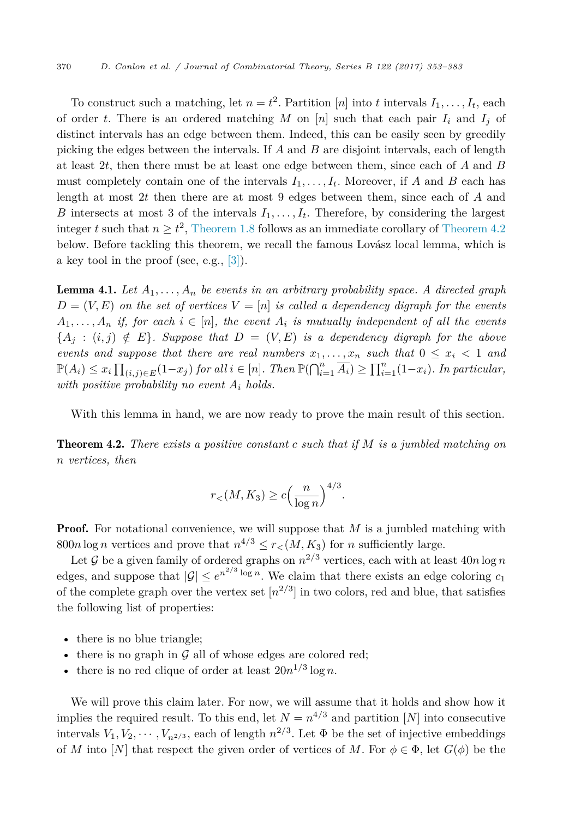To construct such a matching, let  $n = t^2$ . Partition [*n*] into *t* intervals  $I_1, \ldots, I_t$ , each of order *t*. There is an ordered matching *M* on  $[n]$  such that each pair  $I_i$  and  $I_j$  of distinct intervals has an edge between them. Indeed, this can be easily seen by greedily picking the edges between the intervals. If *A* and *B* are disjoint intervals, each of length at least 2*t*, then there must be at least one edge between them, since each of *A* and *B* must completely contain one of the intervals  $I_1, \ldots, I_t$ . Moreover, if A and B each has length at most 2*t* then there are at most 9 edges between them, since each of *A* and *B* intersects at most 3 of the intervals  $I_1, \ldots, I_t$ . Therefore, by considering the largest integer *t* such that  $n \geq t^2$ , [Theorem 1.8](#page-5-0) follows as an immediate corollary of Theorem 4.2 below. Before tackling this theorem, we recall the famous Lovász local lemma, which is a key tool in the proof (see, e.g., [\[3\]\)](#page-29-0).

**Lemma 4.1.** Let  $A_1, \ldots, A_n$  be events in an arbitrary probability space. A directed graph  $D = (V, E)$  *on* the set of vertices  $V = [n]$  is called a dependency digraph for the events  $A_1, \ldots, A_n$  if, for each  $i \in [n]$ , the event  $A_i$  is mutually independent of all the events  ${A_i : (i,j) \notin E}$ *. Suppose that*  $D = (V, E)$  *is a dependency digraph for the above events* and suppose that there are real numbers  $x_1, \ldots, x_n$  such that  $0 \le x_i < 1$  and  $\mathbb{P}(A_i) \leq x_i \prod_{(i,j)\in E} (1-x_j)$  for all  $i \in [n]$ . Then  $\mathbb{P}(\bigcap_{i=1}^n \overline{A_i}) \geq \prod_{i=1}^n (1-x_i)$ . In particular, *with positive probability no event A<sup>i</sup> holds.*

With this lemma in hand, we are now ready to prove the main result of this section.

Theorem 4.2. *There exists a positive constant c such that if M is a jumbled matching on n vertices, then*

$$
r_{<} (M, K_3) \ge c \left(\frac{n}{\log n}\right)^{4/3}.
$$

**Proof.** For notational convenience, we will suppose that M is a jumbled matching with 800*n* log *n* vertices and prove that  $n^{4/3} \leq r \leq (M, K_3)$  for *n* sufficiently large.

Let G be a given family of ordered graphs on  $n^{2/3}$  vertices, each with at least  $40n \log n$ edges, and suppose that  $|G| \leq e^{n^{2/3} \log n}$ . We claim that there exists an edge coloring  $c_1$ of the complete graph over the vertex set  $[n^{2/3}]$  in two colors, red and blue, that satisfies the following list of properties:

- there is no blue triangle;
- there is no graph in  $G$  all of whose edges are colored red;
- there is no red clique of order at least  $20n^{1/3} \log n$ .

We will prove this claim later. For now, we will assume that it holds and show how it implies the required result. To this end, let  $N = n^{4/3}$  and partition [*N*] into consecutive intervals  $V_1, V_2, \cdots, V_{n^{2/3}}$ , each of length  $n^{2/3}$ . Let  $\Phi$  be the set of injective embeddings of *M* into [*N*] that respect the given order of vertices of *M*. For  $\phi \in \Phi$ , let  $G(\phi)$  be the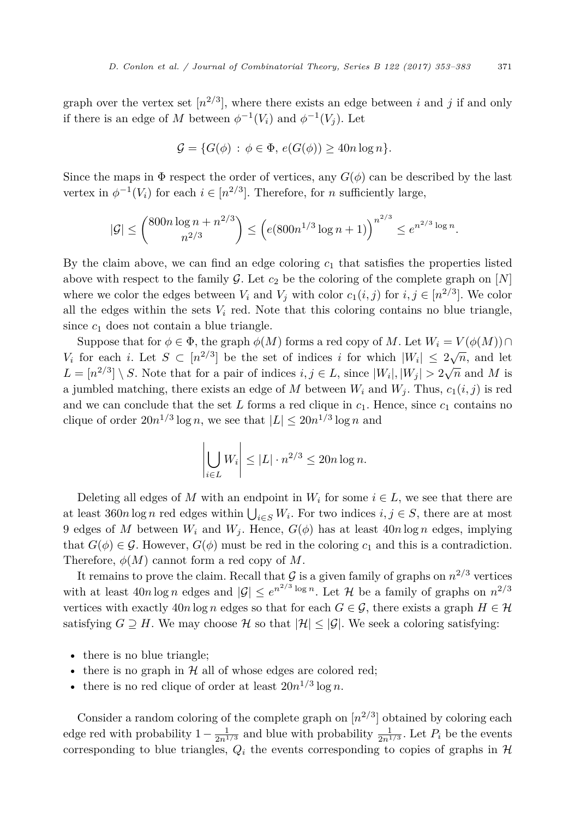graph over the vertex set  $[n^{2/3}]$ , where there exists an edge between *i* and *j* if and only if there is an edge of *M* between  $\phi^{-1}(V_i)$  and  $\phi^{-1}(V_i)$ . Let

$$
\mathcal{G} = \{ G(\phi) : \phi \in \Phi, e(G(\phi)) \ge 40n \log n \}.
$$

Since the maps in  $\Phi$  respect the order of vertices, any  $G(\phi)$  can be described by the last vertex in  $\phi^{-1}(V_i)$  for each  $i \in [n^{2/3}]$ . Therefore, for *n* sufficiently large,

$$
|\mathcal{G}| \le \binom{800n\log n + n^{2/3}}{n^{2/3}} \le \left(e(800n^{1/3}\log n + 1)\right)^{n^{2/3}} \le e^{n^{2/3}\log n}.
$$

By the claim above, we can find an edge coloring *c*<sup>1</sup> that satisfies the properties listed above with respect to the family  $\mathcal G$ . Let  $c_2$  be the coloring of the complete graph on  $[N]$ where we color the edges between  $V_i$  and  $V_j$  with color  $c_1(i,j)$  for  $i, j \in [n^{2/3}]$ . We color all the edges within the sets  $V_i$  red. Note that this coloring contains no blue triangle, since  $c_1$  does not contain a blue triangle.

Suppose that for  $\phi \in \Phi$ , the graph  $\phi(M)$  forms a red copy of M. Let  $W_i = V(\phi(M)) \cap$ *V*<sup>*i*</sup> for each *i*. Let  $S \subset [n^{2/3}]$  be the set of indices *i* for which  $|W_i| \leq 2\sqrt{n}$ , and let  $L = [n^{2/3}] \setminus S$ . Note that for a pair of indices  $i, j \in L$ , since  $|W_i|, |W_j| > 2\sqrt{n}$  and *M* is a jumbled matching, there exists an edge of *M* between  $W_i$  and  $W_j$ . Thus,  $c_1(i, j)$  is red and we can conclude that the set L forms a red clique in  $c_1$ . Hence, since  $c_1$  contains no clique of order  $20n^{1/3}\log n$ , we see that  $|L| \leq 20n^{1/3}\log n$  and

$$
\left| \bigcup_{i \in L} W_i \right| \le |L| \cdot n^{2/3} \le 20n \log n.
$$

Deleting all edges of *M* with an endpoint in  $W_i$  for some  $i \in L$ , we see that there are at least  $360n \log n$  red edges within  $\bigcup_{i \in S} W_i$ . For two indices  $i, j \in S$ , there are at most 9 edges of *M* between  $W_i$  and  $W_j$ . Hence,  $G(\phi)$  has at least  $40n \log n$  edges, implying that  $G(\phi) \in \mathcal{G}$ . However,  $G(\phi)$  must be red in the coloring  $c_1$  and this is a contradiction. Therefore,  $\phi(M)$  cannot form a red copy of M.

It remains to prove the claim. Recall that  $\mathcal G$  is a given family of graphs on  $n^{2/3}$  vertices with at least  $40n \log n$  edges and  $|\mathcal{G}| \leq e^{n^{2/3} \log n}$ . Let  $\mathcal{H}$  be a family of graphs on  $n^{2/3}$ vertices with exactly  $40n \log n$  edges so that for each  $G \in \mathcal{G}$ , there exists a graph  $H \in \mathcal{H}$ satisfying  $G \supseteq H$ . We may choose  $H$  so that  $|H| \leq |G|$ . We seek a coloring satisfying:

- there is no blue triangle;
- there is no graph in  $H$  all of whose edges are colored red;
- there is no red clique of order at least  $20n^{1/3} \log n$ .

Consider a random coloring of the complete graph on  $[n^{2/3}]$  obtained by coloring each edge red with probability  $1 - \frac{1}{2n^{1/3}}$  and blue with probability  $\frac{1}{2n^{1/3}}$ . Let  $P_i$  be the events corresponding to blue triangles,  $Q_i$  the events corresponding to copies of graphs in  $H$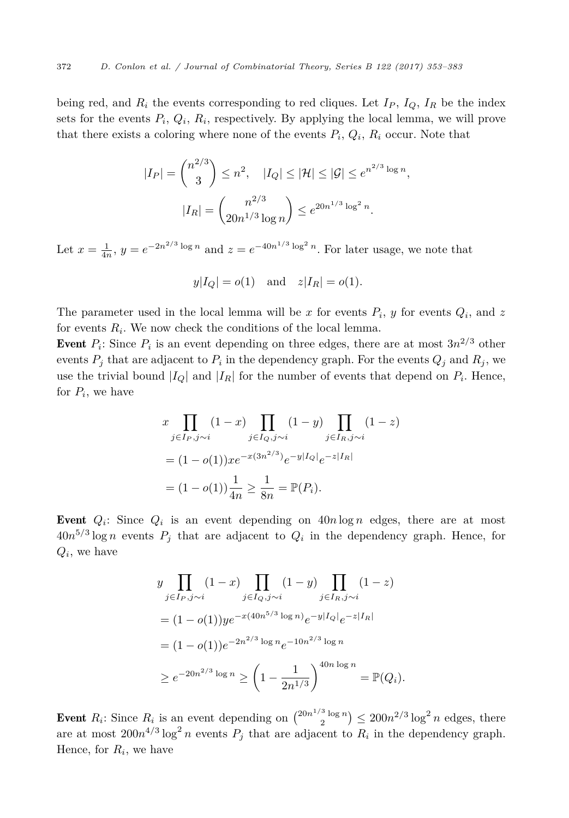being red, and  $R_i$  the events corresponding to red cliques. Let  $I_P$ ,  $I_Q$ ,  $I_R$  be the index sets for the events  $P_i$ ,  $Q_i$ ,  $R_i$ , respectively. By applying the local lemma, we will prove that there exists a coloring where none of the events  $P_i$ ,  $Q_i$ ,  $R_i$  occur. Note that

$$
|I_P| = \binom{n^{2/3}}{3} \le n^2, \quad |I_Q| \le |\mathcal{H}| \le |\mathcal{G}| \le e^{n^{2/3} \log n},
$$

$$
|I_R| = \binom{n^{2/3}}{20n^{1/3} \log n} \le e^{20n^{1/3} \log^2 n}.
$$

Let  $x = \frac{1}{4n}$ ,  $y = e^{-2n^{2/3} \log n}$  and  $z = e^{-40n^{1/3} \log^2 n}$ . For later usage, we note that

$$
y|I_Q| = o(1)
$$
 and  $z|I_R| = o(1)$ .

The parameter used in the local lemma will be x for events  $P_i$ , y for events  $Q_i$ , and z for events  $R_i$ . We now check the conditions of the local lemma.

**Event**  $P_i$ : Since  $P_i$  is an event depending on three edges, there are at most  $3n^{2/3}$  other events  $P_i$  that are adjacent to  $P_i$  in the dependency graph. For the events  $Q_i$  and  $R_i$ , we use the trivial bound  $|I_Q|$  and  $|I_R|$  for the number of events that depend on  $P_i$ . Hence, for  $P_i$ , we have

$$
x \prod_{j \in I_P, j \sim i} (1 - x) \prod_{j \in I_Q, j \sim i} (1 - y) \prod_{j \in I_R, j \sim i} (1 - z)
$$
  
=  $(1 - o(1))xe^{-x(3n^{2/3})}e^{-y|I_Q|}e^{-z|I_R|}$   
=  $(1 - o(1))\frac{1}{4n} \ge \frac{1}{8n} = \mathbb{P}(P_i).$ 

Event  $Q_i$ : Since  $Q_i$  is an event depending on  $40n \log n$  edges, there are at most  $40n^{5/3}\log n$  events  $P_j$  that are adjacent to  $Q_i$  in the dependency graph. Hence, for *Qi*, we have

$$
y \prod_{j \in I_P, j \sim i} (1 - x) \prod_{j \in I_Q, j \sim i} (1 - y) \prod_{j \in I_R, j \sim i} (1 - z)
$$
  
=  $(1 - o(1))ye^{-x(40n^{5/3} \log n)}e^{-y|I_Q|}e^{-z|I_R|}$   
=  $(1 - o(1))e^{-2n^{2/3} \log n}e^{-10n^{2/3} \log n}$   
 $\ge e^{-20n^{2/3} \log n} \ge \left(1 - \frac{1}{2n^{1/3}}\right)^{40n \log n} = \mathbb{P}(Q_i).$ 

**Event**  $R_i$ : Since  $R_i$  is an event depending on  $\binom{20n^{1/3} \log n}{2} \leq 200n^{2/3} \log^2 n$  edges, there are at most  $200n^{4/3}\log^2 n$  events  $P_j$  that are adjacent to  $R_i$  in the dependency graph. Hence, for *Ri*, we have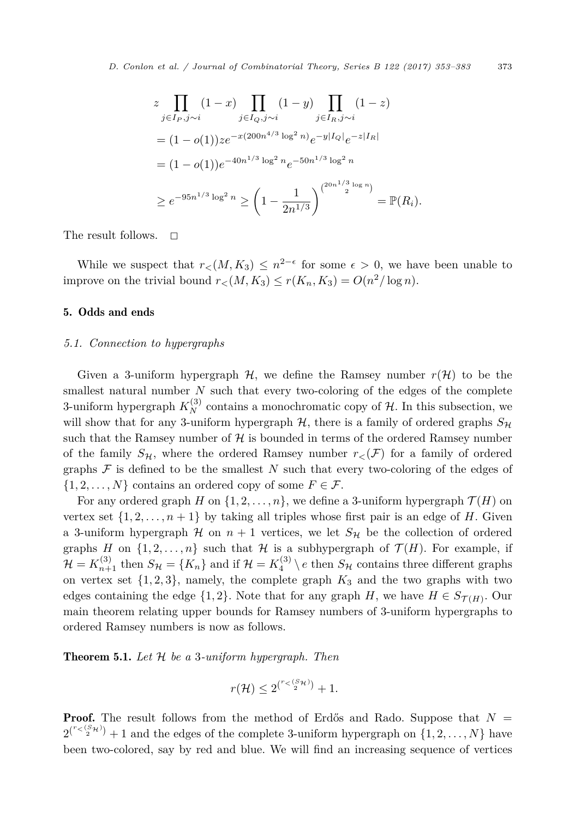<span id="page-20-0"></span>
$$
z \prod_{j \in I_P, j \sim i} (1 - x) \prod_{j \in I_Q, j \sim i} (1 - y) \prod_{j \in I_R, j \sim i} (1 - z)
$$
  
=  $(1 - o(1))ze^{-x(200n^{4/3} \log^2 n)}e^{-y|I_Q|}e^{-z|I_R|}$   
=  $(1 - o(1))e^{-40n^{1/3} \log^2 n}e^{-50n^{1/3} \log^2 n}$   
 $\ge e^{-95n^{1/3} \log^2 n} \ge \left(1 - \frac{1}{2n^{1/3}}\right)^{\binom{20n^{1/3} \log n}{2}} = \mathbb{P}(R_i).$ 

The result follows.  $\Box$ 

While we suspect that  $r(M, K_3) \leq n^{2-\epsilon}$  for some  $\epsilon > 0$ , we have been unable to improve on the trivial bound  $r<sub>lt</sub>(M, K_3) \leq r(K_n, K_3) = O(n^2/\log n)$ .

# 5. Odds and ends

#### *5.1. Connection to hypergraphs*

Given a 3-uniform hypergraph  $H$ , we define the Ramsey number  $r(\mathcal{H})$  to be the smallest natural number *N* such that every two-coloring of the edges of the complete 3-uniform hypergraph  $K_N^{(3)}$  contains a monochromatic copy of  $H$ . In this subsection, we will show that for any 3-uniform hypergraph  $H$ , there is a family of ordered graphs  $S_H$ such that the Ramsey number of  $H$  is bounded in terms of the ordered Ramsey number of the family  $S_H$ , where the ordered Ramsey number  $r<sub>lt</sub>(\mathcal{F})$  for a family of ordered graphs  $\mathcal F$  is defined to be the smallest  $N$  such that every two-coloring of the edges of  $\{1, 2, \ldots, N\}$  contains an ordered copy of some  $F \in \mathcal{F}$ .

For any ordered graph *H* on  $\{1, 2, \ldots, n\}$ , we define a 3-uniform hypergraph  $\mathcal{T}(H)$  on vertex set  $\{1, 2, \ldots, n+1\}$  by taking all triples whose first pair is an edge of *H*. Given a 3-uniform hypergraph  $H$  on  $n + 1$  vertices, we let  $S_H$  be the collection of ordered graphs *H* on  $\{1, 2, \ldots, n\}$  such that *H* is a subhypergraph of  $\mathcal{T}(H)$ . For example, if  $\mathcal{H} = K_{n+1}^{(3)}$  then  $S_{\mathcal{H}} = \{K_n\}$  and if  $\mathcal{H} = K_4^{(3)} \setminus e$  then  $S_{\mathcal{H}}$  contains three different graphs on vertex set  $\{1, 2, 3\}$ , namely, the complete graph  $K_3$  and the two graphs with two edges containing the edge  $\{1,2\}$ . Note that for any graph *H*, we have  $H \in S_{\mathcal{T}(H)}$ . Our main theorem relating upper bounds for Ramsey numbers of 3-uniform hypergraphs to ordered Ramsey numbers is now as follows.

Theorem 5.1. *Let* H *be a* 3*-uniform hypergraph. Then*

$$
r(\mathcal{H}) \leq 2^{\binom{r < (S_{\mathcal{H}})}{2}} + 1.
$$

**Proof.** The result follows from the method of Erdős and Rado. Suppose that  $N =$  $2^{r < (S_H)} + 1$  and the edges of the complete 3-uniform hypergraph on  $\{1, 2, ..., N\}$  have been two-colored, say by red and blue. We will find an increasing sequence of vertices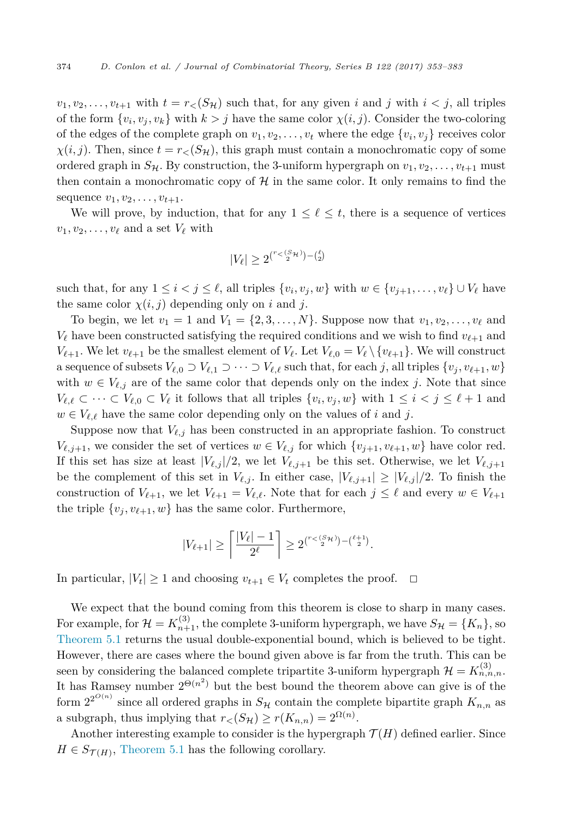$v_1, v_2, \ldots, v_{t+1}$  with  $t = r_{\leq}(S_{\mathcal{H}})$  such that, for any given *i* and *j* with  $i \leq j$ , all triples of the form  $\{v_i, v_j, v_k\}$  with  $k > j$  have the same color  $\chi(i, j)$ . Consider the two-coloring of the edges of the complete graph on  $v_1, v_2, \ldots, v_t$  where the edge  $\{v_i, v_j\}$  receives color  $\chi(i, j)$ . Then, since  $t = r<sub>lt</sub>(S_{\mathcal{H}})$ , this graph must contain a monochromatic copy of some ordered graph in  $S_H$ . By construction, the 3-uniform hypergraph on  $v_1, v_2, \ldots, v_{t+1}$  must then contain a monochromatic copy of  $\mathcal H$  in the same color. It only remains to find the sequence  $v_1, v_2, \ldots, v_{t+1}$ .

We will prove, by induction, that for any  $1 \leq \ell \leq t$ , there is a sequence of vertices  $v_1, v_2, \ldots, v_\ell$  and a set  $V_\ell$  with

$$
|V_{\ell}| \ge 2^{\binom{r < (S_{\mathcal{H}})}{2} - \binom{\ell}{2}}
$$

such that, for any  $1 \leq i < j \leq \ell$ , all triples  $\{v_i, v_j, w\}$  with  $w \in \{v_{j+1}, \ldots, v_{\ell}\} \cup V_{\ell}$  have the same color  $\chi(i, j)$  depending only on *i* and *j*.

To begin, we let  $v_1 = 1$  and  $V_1 = \{2, 3, \ldots, N\}$ . Suppose now that  $v_1, v_2, \ldots, v_\ell$  and  $V_{\ell}$  have been constructed satisfying the required conditions and we wish to find  $v_{\ell+1}$  and  $V_{\ell+1}$ . We let  $v_{\ell+1}$  be the smallest element of  $V_{\ell}$ . Let  $V_{\ell,0} = V_{\ell} \setminus \{v_{\ell+1}\}\.$  We will construct a sequence of subsets  $V_{\ell,0} \supset V_{\ell,1} \supset \cdots \supset V_{\ell,\ell}$  such that, for each *j*, all triples  $\{v_i,v_{\ell+1},w\}$ with  $w \in V_{\ell, j}$  are of the same color that depends only on the index *j*. Note that since  $V_{\ell,\ell} \subset \cdots \subset V_{\ell,0} \subset V_{\ell}$  it follows that all triples  $\{v_i, v_j, w\}$  with  $1 \leq i < j \leq \ell + 1$  and  $w \in V_{\ell,\ell}$  have the same color depending only on the values of *i* and *j*.

Suppose now that  $V_{\ell,j}$  has been constructed in an appropriate fashion. To construct *V*<sub>*i*, *j*+1</sub>, we consider the set of vertices  $w \in V_{\ell,j}$  for which  $\{v_{j+1}, v_{\ell+1}, w\}$  have color red. If this set has size at least  $|V_{\ell,j}|/2$ , we let  $V_{\ell,j+1}$  be this set. Otherwise, we let  $V_{\ell,j+1}$ be the complement of this set in  $V_{\ell,j}$ . In either case,  $|V_{\ell,j+1}| \geq |V_{\ell,j}|/2$ . To finish the construction of  $V_{\ell+1}$ , we let  $V_{\ell+1} = V_{\ell,\ell}$ . Note that for each  $j \leq \ell$  and every  $w \in V_{\ell+1}$ the triple  $\{v_j, v_{\ell+1}, w\}$  has the same color. Furthermore,

$$
|V_{\ell+1}| \ge \left\lceil \frac{|V_\ell|-1}{2^\ell} \right\rceil \ge 2^{\binom{r < (S_\mathcal{H})}{2} - \binom{\ell+1}{2}}.
$$

In particular,  $|V_t| \geq 1$  and choosing  $v_{t+1} \in V_t$  completes the proof.  $\Box$ 

We expect that the bound coming from this theorem is close to sharp in many cases. For example, for  $\mathcal{H} = K_{n+1}^{(3)}$ , the complete 3-uniform hypergraph, we have  $S_{\mathcal{H}} = \{K_n\}$ , so [Theorem 5.1](#page-20-0) returns the usual double-exponential bound, which is believed to be tight. However, there are cases where the bound given above is far from the truth. This can be seen by considering the balanced complete tripartite 3-uniform hypergraph  $\mathcal{H} = K_{n,n,n}^{(3)}$ . It has Ramsey number  $2^{\Theta(n^2)}$  but the best bound the theorem above can give is of the form  $2^{2^{O(n)}}$  since all ordered graphs in  $S_{\mathcal{H}}$  contain the complete bipartite graph  $K_{n,n}$  as a subgraph, thus implying that  $r<sub>lt</sub>(S_{\mathcal{H}}) \geq r(K_{n,n}) = 2^{\Omega(n)}$ .

Another interesting example to consider is the hypergraph  $\mathcal{T}(H)$  defined earlier. Since  $H \in S_{\mathcal{T}(H)}$ , [Theorem 5.1](#page-20-0) has the following corollary.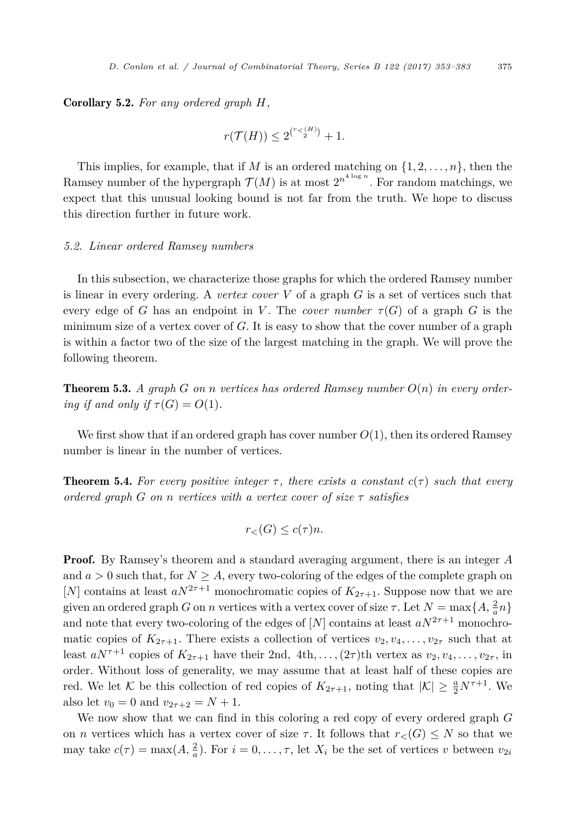<span id="page-22-0"></span>Corollary 5.2. *For any ordered graph H,*

$$
r(\mathcal{T}(H)) \leq 2^{\binom{r < \binom{H}{2}}{2}} + 1.
$$

This implies, for example, that if *M* is an ordered matching on  $\{1, 2, \ldots, n\}$ , then the Ramsey number of the hypergraph  $\mathcal{T}(M)$  is at most  $2^{n^{4 \log n}}$ . For random matchings, we expect that this unusual looking bound is not far from the truth. We hope to discuss this direction further in future work.

## *5.2. Linear ordered Ramsey numbers*

In this subsection, we characterize those graphs for which the ordered Ramsey number is linear in every ordering. A *vertex cover V* of a graph *G* is a set of vertices such that every edge of *G* has an endpoint in *V*. The *cover* number  $\tau(G)$  of a graph *G* is the minimum size of a vertex cover of *G*. It is easy to show that the cover number of a graph is within a factor two of the size of the largest matching in the graph. We will prove the following theorem.

**Theorem 5.3.** A graph  $G$  on  $n$  vertices has ordered Ramsey number  $O(n)$  in every order*ing if* and only *if*  $\tau(G) = O(1)$ *.* 

We first show that if an ordered graph has cover number  $O(1)$ , then its ordered Ramsey number is linear in the number of vertices.

**Theorem 5.4.** For every positive integer  $\tau$ , there exists a constant  $c(\tau)$  such that every *ordered graph G on n vertices with a vertex cover of size τ satisfies*

$$
r_{<} (G) \leq c(\tau)n.
$$

Proof. By Ramsey's theorem and a standard averaging argument, there is an integer *A* and  $a > 0$  such that, for  $N > A$ , every two-coloring of the edges of the complete graph on [*N*] contains at least  $aN^{2\tau+1}$  monochromatic copies of  $K_{2\tau+1}$ . Suppose now that we are given an ordered graph *G* on *n* vertices with a vertex cover of size  $\tau$ . Let  $N = \max\{A, \frac{2}{a}n\}$ and note that every two-coloring of the edges of  $[N]$  contains at least  $aN^{2\tau+1}$  monochromatic copies of  $K_{2\tau+1}$ . There exists a collection of vertices  $v_2, v_4, \ldots, v_{2\tau}$  such that at least  $aN^{\tau+1}$  copies of  $K_{2\tau+1}$  have their 2nd, 4th,  $\ldots$ ,  $(2\tau)$ th vertex as  $v_2, v_4, \ldots, v_{2\tau}$ , in order. Without loss of generality, we may assume that at least half of these copies are red. We let  $\mathcal{K}$  be this collection of red copies of  $K_{2\tau+1}$ , noting that  $|\mathcal{K}| \geq \frac{a}{2} N^{\tau+1}$ . We also let  $v_0 = 0$  and  $v_{2\tau+2} = N + 1$ .

We now show that we can find in this coloring a red copy of every ordered graph *G* on *n* vertices which has a vertex cover of size  $\tau$ . It follows that  $r<sub>lt</sub>(G) \leq N$  so that we may take  $c(\tau) = \max(A, \frac{2}{a})$ . For  $i = 0, \ldots, \tau$ , let  $X_i$  be the set of vertices *v* between  $v_{2i}$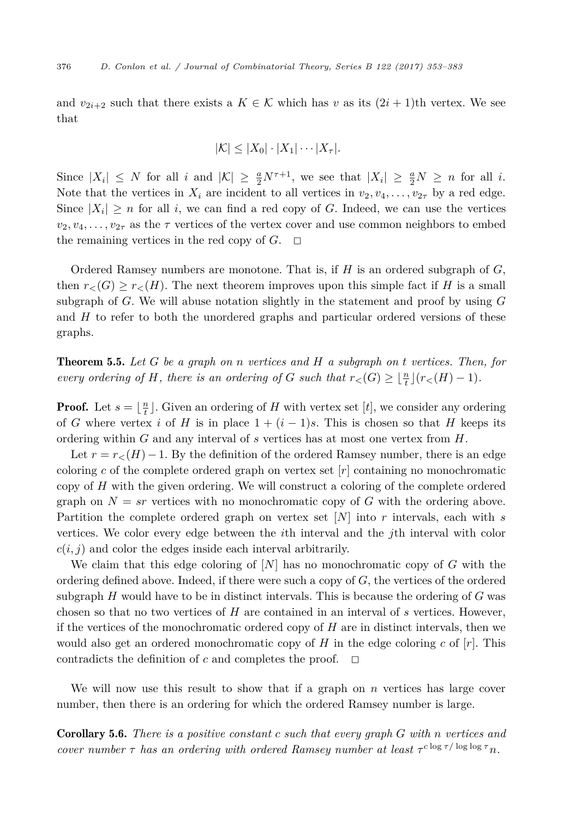<span id="page-23-0"></span>and  $v_{2i+2}$  such that there exists a  $K \in \mathcal{K}$  which has v as its  $(2i+1)$ th vertex. We see that

$$
|\mathcal{K}| \leq |X_0| \cdot |X_1| \cdots |X_\tau|.
$$

Since  $|X_i| \leq N$  for all *i* and  $|K| \geq \frac{a}{2}N^{\tau+1}$ , we see that  $|X_i| \geq \frac{a}{2}N \geq n$  for all *i*. Note that the vertices in  $X_i$  are incident to all vertices in  $v_2, v_4, \ldots, v_{2\tau}$  by a red edge. Since  $|X_i| \geq n$  for all *i*, we can find a red copy of *G*. Indeed, we can use the vertices  $v_2, v_4, \ldots, v_{2\tau}$  as the  $\tau$  vertices of the vertex cover and use common neighbors to embed the remaining vertices in the red copy of  $G$ .  $\Box$ 

Ordered Ramsey numbers are monotone. That is, if *H* is an ordered subgraph of *G*, then  $r<sub>lt</sub>(G) \geq r<sub>lt</sub>(H)$ . The next theorem improves upon this simple fact if *H* is a small subgraph of *G*. We will abuse notation slightly in the statement and proof by using *G* and *H* to refer to both the unordered graphs and particular ordered versions of these graphs.

Theorem 5.5. *Let G be a graph on n vertices and H a subgraph on t vertices. Then, for* every ordering of H, there is an ordering of G such that  $r<(G) \geq \lfloor \frac{n}{t} \rfloor (r<(H)-1)$ .

**Proof.** Let  $s = \lfloor \frac{n}{t} \rfloor$ . Given an ordering of *H* with vertex set [*t*], we consider any ordering of *G* where vertex *i* of *H* is in place  $1 + (i - 1)s$ . This is chosen so that *H* keeps its ordering within *G* and any interval of *s* vertices has at most one vertex from *H*.

Let  $r = r$   $(K) - 1$ . By the definition of the ordered Ramsey number, there is an edge coloring *c* of the complete ordered graph on vertex set [*r*] containing no monochromatic copy of *H* with the given ordering. We will construct a coloring of the complete ordered graph on  $N = sr$  vertices with no monochromatic copy of  $G$  with the ordering above. Partition the complete ordered graph on vertex set [*N*] into *r* intervals, each with *s* vertices. We color every edge between the *i*th interval and the *j*th interval with color  $c(i, j)$  and color the edges inside each interval arbitrarily.

We claim that this edge coloring of [*N*] has no monochromatic copy of *G* with the ordering defined above. Indeed, if there were such a copy of *G*, the vertices of the ordered subgraph *H* would have to be in distinct intervals. This is because the ordering of *G* was chosen so that no two vertices of *H* are contained in an interval of *s* vertices. However, if the vertices of the monochromatic ordered copy of *H* are in distinct intervals, then we would also get an ordered monochromatic copy of *H* in the edge coloring *c* of [*r*]. This contradicts the definition of  $c$  and completes the proof.  $\Box$ 

We will now use this result to show that if a graph on *n* vertices has large cover number, then there is an ordering for which the ordered Ramsey number is large.

Corollary 5.6. *There is a positive constant c such that every graph G with n vertices and cover number*  $\tau$  *has an ordering with ordered Ramsey number at least*  $\tau^{c \log \tau / \log \log \tau} n$ *.*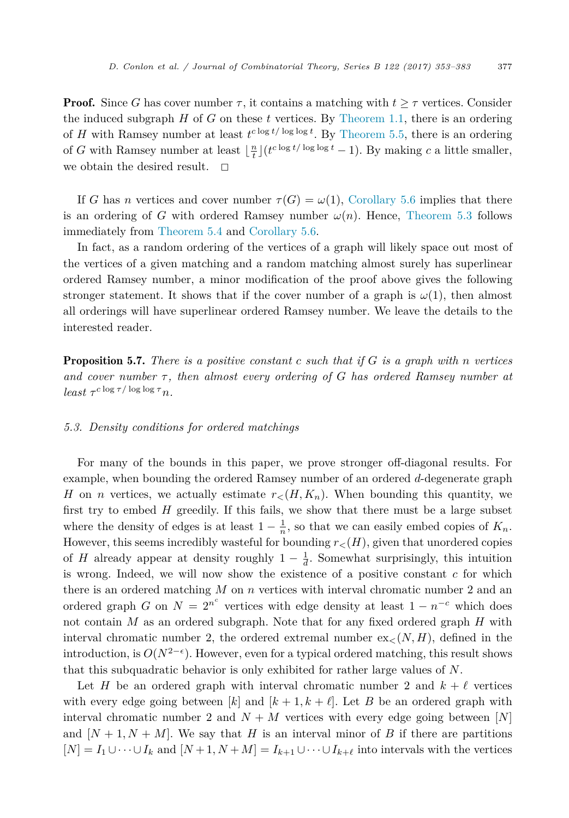**Proof.** Since G has cover number  $\tau$ , it contains a matching with  $t > \tau$  vertices. Consider the induced subgraph *H* of *G* on these *t* vertices. By [Theorem 1.1,](#page-3-0) there is an ordering of *H* with Ramsey number at least  $t^{c \log t/\log \log t}$ . By [Theorem 5.5,](#page-23-0) there is an ordering of *G* with Ramsey number at least  $\lfloor \frac{n}{t} \rfloor (t^{c \log t / \log \log t} - 1)$ . By making *c* a little smaller, we obtain the desired result.

If *G* has *n* vertices and cover number  $\tau(G) = \omega(1)$ , [Corollary 5.6](#page-23-0) implies that there is an ordering of *G* with ordered Ramsey number  $\omega(n)$ . Hence, [Theorem 5.3](#page-22-0) follows immediately from [Theorem 5.4](#page-22-0) and [Corollary 5.6.](#page-23-0)

In fact, as a random ordering of the vertices of a graph will likely space out most of the vertices of a given matching and a random matching almost surely has superlinear ordered Ramsey number, a minor modification of the proof above gives the following stronger statement. It shows that if the cover number of a graph is  $\omega(1)$ , then almost all orderings will have superlinear ordered Ramsey number. We leave the details to the interested reader.

Proposition 5.7. *There is a positive constant c such that if G is a graph with n vertices and cover number τ , then almost every ordering of G has ordered Ramsey number at least*  $\tau^{c \log \tau / \log \log \tau} n$ .

# *5.3. Density conditions for ordered matchings*

For many of the bounds in this paper, we prove stronger off-diagonal results. For example, when bounding the ordered Ramsey number of an ordered *d*-degenerate graph *H* on *n* vertices, we actually estimate  $r<sub>lt</sub>(H, K_n)$ . When bounding this quantity, we first try to embed *H* greedily. If this fails, we show that there must be a large subset where the density of edges is at least  $1 - \frac{1}{n}$ , so that we can easily embed copies of  $K_n$ . However, this seems incredibly wasteful for bounding  $r<sub>z</sub>(H)$ , given that unordered copies of *H* already appear at density roughly  $1 - \frac{1}{d}$ . Somewhat surprisingly, this intuition is wrong. Indeed, we will now show the existence of a positive constant *c* for which there is an ordered matching *M* on *n* vertices with interval chromatic number 2 and an ordered graph *G* on  $N = 2^{n^c}$  vertices with edge density at least  $1 - n^{-c}$  which does not contain *M* as an ordered subgraph. Note that for any fixed ordered graph *H* with interval chromatic number 2, the ordered extremal number  $ex_{<}(N, H)$ , defined in the introduction, is  $O(N^{2-\epsilon})$ . However, even for a typical ordered matching, this result shows that this subquadratic behavior is only exhibited for rather large values of *N*.

Let *H* be an ordered graph with interval chromatic number 2 and  $k + \ell$  vertices with every edge going between [k] and  $[k+1, k+\ell]$ . Let B be an ordered graph with interval chromatic number 2 and  $N + M$  vertices with every edge going between [N] and  $[N+1, N+M]$ . We say that *H* is an interval minor of *B* if there are partitions  $[N] = I_1 \cup \cdots \cup I_k$  and  $[N+1, N+M] = I_{k+1} \cup \cdots \cup I_{k+\ell}$  into intervals with the vertices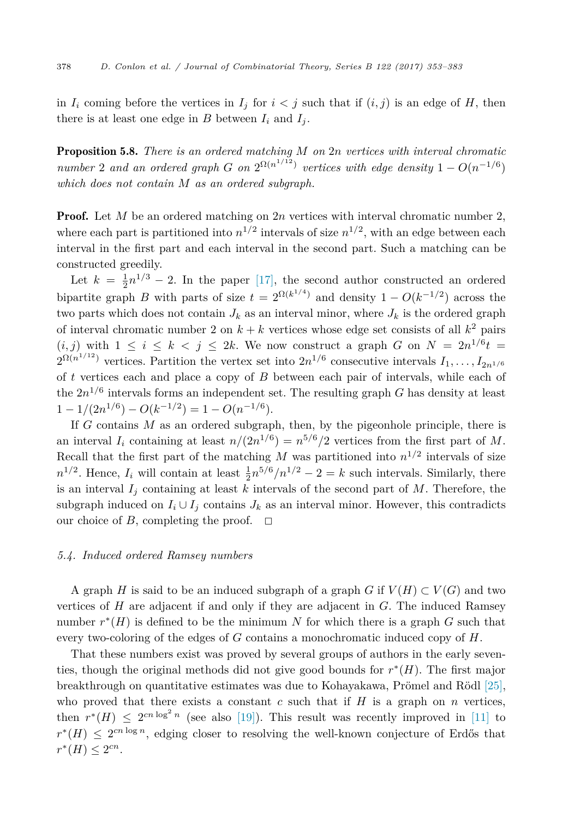in  $I_i$  coming before the vertices in  $I_j$  for  $i < j$  such that if  $(i, j)$  is an edge of  $H$ , then there is at least one edge in *B* between  $I_i$  and  $I_j$ .

Proposition 5.8. *There is an ordered matching M on* 2*n vertices with interval chromatic number* 2 *and an ordered graph G on*  $2^{\Omega(n^{1/\tilde{12}})}$  *vertices with edge density* 1 −  $O(n^{-1/6})$ *which does not contain M as an ordered subgraph.*

**Proof.** Let M be an ordered matching on 2n vertices with interval chromatic number 2, where each part is partitioned into  $n^{1/2}$  intervals of size  $n^{1/2}$ , with an edge between each interval in the first part and each interval in the second part. Such a matching can be constructed greedily.

Let  $k = \frac{1}{2}n^{1/3} - 2$ . In the paper [\[17\],](#page-29-0) the second author constructed an ordered bipartite graph *B* with parts of size  $t = 2^{\Omega(k^{1/4})}$  and density  $1 - O(k^{-1/2})$  across the two parts which does not contain  $J_k$  as an interval minor, where  $J_k$  is the ordered graph of interval chromatic number 2 on  $k + k$  vertices whose edge set consists of all  $k^2$  pairs  $(i, j)$  with  $1 \leq i \leq k < j \leq 2k$ . We now construct a graph *G* on  $N = 2n^{1/6}t =$  $2^{\Omega(n^{1/12})}$  vertices. Partition the vertex set into  $2n^{1/6}$  consecutive intervals  $I_1, \ldots, I_{2n^{1/6}}$ of *t* vertices each and place a copy of *B* between each pair of intervals, while each of the  $2n^{1/6}$  intervals forms an independent set. The resulting graph *G* has density at least  $1 - 1/(2n^{1/6}) - O(k^{-1/2}) = 1 - O(n^{-1/6}).$ 

If *G* contains *M* as an ordered subgraph, then, by the pigeonhole principle, there is an interval  $I_i$  containing at least  $n/(2n^{1/6}) = n^{5/6}/2$  vertices from the first part of M. Recall that the first part of the matching *M* was partitioned into  $n^{1/2}$  intervals of size  $n^{1/2}$ . Hence,  $I_i$  will contain at least  $\frac{1}{2}n^{5/6}/n^{1/2} - 2 = k$  such intervals. Similarly, there is an interval  $I_j$  containing at least  $k$  intervals of the second part of  $M$ . Therefore, the subgraph induced on  $I_i \cup I_j$  contains  $J_k$  as an interval minor. However, this contradicts our choice of *B*, completing the proof.  $\Box$ 

# *5.4. Induced ordered Ramsey numbers*

A graph *H* is said to be an induced subgraph of a graph *G* if  $V(H) \subset V(G)$  and two vertices of *H* are adjacent if and only if they are adjacent in *G*. The induced Ramsey number  $r^*(H)$  is defined to be the minimum N for which there is a graph G such that every two-coloring of the edges of *G* contains a monochromatic induced copy of *H*.

That these numbers exist was proved by several groups of authors in the early seventies, though the original methods did not give good bounds for *r*∗(*H*). The first major breakthrough on quantitative estimates was due to Kohayakawa, Prömel and Rödl [\[25\],](#page-29-0) who proved that there exists a constant  $c$  such that if  $H$  is a graph on  $n$  vertices, then  $r^*(H) \leq 2^{cn \log^2 n}$  (see also [\[19\]\)](#page-29-0). This result was recently improved in [\[11\]](#page-29-0) to  $r*(H) \leq 2^{cn \log n}$ , edging closer to resolving the well-known conjecture of Erdős that  $r^*(H) \leq 2^{cn}$ .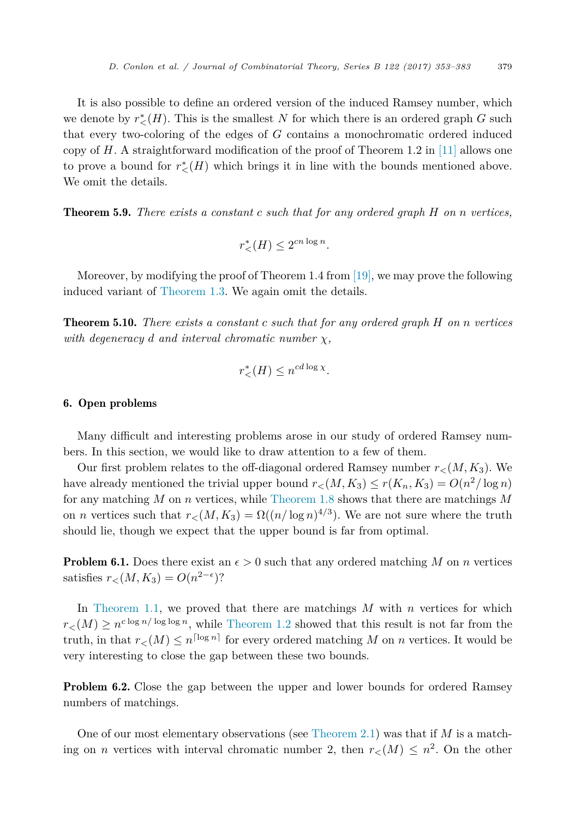<span id="page-26-0"></span>It is also possible to define an ordered version of the induced Ramsey number, which we denote by  $r^*_{\leq}(H)$ . This is the smallest *N* for which there is an ordered graph *G* such that every two-coloring of the edges of *G* contains a monochromatic ordered induced copy of *H*. A straightforward modification of the proof of Theorem 1.2 in [\[11\]](#page-29-0) allows one to prove a bound for  $r^*_{\lt}(H)$  which brings it in line with the bounds mentioned above. We omit the details.

Theorem 5.9. *There exists a constant c such that for any ordered graph H on n vertices,*

$$
r^*_{\leq}(H) \leq 2^{cn \log n}.
$$

Moreover, by modifying the proof of Theorem 1.4 from  $[19]$ , we may prove the following induced variant of [Theorem 1.3.](#page-4-0) We again omit the details.

Theorem 5.10. *There exists a constant c such that for any ordered graph H on n vertices with degeneracy d and interval chromatic number χ,*

$$
r^*_{\leq}(H) \leq n^{cd \log \chi}.
$$

### 6. Open problems

Many difficult and interesting problems arose in our study of ordered Ramsey numbers. In this section, we would like to draw attention to a few of them.

Our first problem relates to the off-diagonal ordered Ramsey number  $r<sub>5</sub>(M, K<sub>3</sub>)$ . We have already mentioned the trivial upper bound  $r<sub>lt</sub>(M, K_3) \leq r(K_n, K_3) = O(n^2/\log n)$ for any matching *M* on *n* vertices, while [Theorem 1.8](#page-5-0) shows that there are matchings *M* on *n* vertices such that  $r<sub>lt</sub>(M, K_3) = \Omega((n/\log n)^{4/3})$ . We are not sure where the truth should lie, though we expect that the upper bound is far from optimal.

**Problem 6.1.** Does there exist an  $\epsilon > 0$  such that any ordered matching M on *n* vertices satisfies  $r<sub>lt</sub>(M, K_3) = O(n^{2-\epsilon})$ ?

In [Theorem 1.1,](#page-3-0) we proved that there are matchings *M* with *n* vertices for which  $r<sub>z</sub>(M) \geq n^{c \log n/\log \log n}$ , while [Theorem 1.2](#page-3-0) showed that this result is not far from the truth, in that  $r<sub>lt</sub>(M) \leq n^{\lceil \log n \rceil}$  for every ordered matching *M* on *n* vertices. It would be very interesting to close the gap between these two bounds.

Problem 6.2. Close the gap between the upper and lower bounds for ordered Ramsey numbers of matchings.

One of our most elementary observations (see [Theorem 2.1\)](#page-6-0) was that if *M* is a matching on *n* vertices with interval chromatic number 2, then  $r<sub>lt</sub>(M) \leq n^2$ . On the other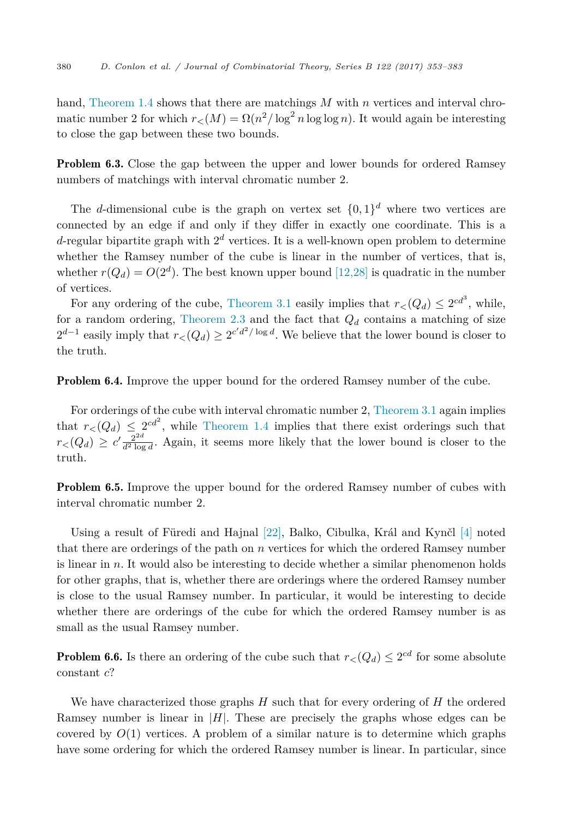hand, [Theorem 1.4](#page-4-0) shows that there are matchings M with n vertices and interval chromatic number 2 for which  $r<sub>lt</sub>(M) = \Omega(n^2/\log^2 n \log \log n)$ . It would again be interesting to close the gap between these two bounds.

**Problem 6.3.** Close the gap between the upper and lower bounds for ordered Ramsey numbers of matchings with interval chromatic number 2.

The *d*-dimensional cube is the graph on vertex set  $\{0,1\}^d$  where two vertices are connected by an edge if and only if they differ in exactly one coordinate. This is a *d*-regular bipartite graph with 2*<sup>d</sup>* vertices. It is a well-known open problem to determine whether the Ramsey number of the cube is linear in the number of vertices, that is, whether  $r(Q_d) = O(2^d)$ . The best known upper bound [\[12,28\]](#page-29-0) is quadratic in the number of vertices.

For any ordering of the cube, [Theorem 3.1](#page-11-0) easily implies that  $r<sub>lt</sub>(Q<sub>d</sub>) \leq 2^{cd^3}$ , while, for a random ordering, [Theorem 2.3](#page-7-0) and the fact that  $Q_d$  contains a matching of size  $2^{d-1}$  easily imply that  $r<sub>≤</sub>(Q<sub>d</sub>) ≥ 2^{c'd<sup>2</sup>/\log d}$ . We believe that the lower bound is closer to the truth.

Problem 6.4. Improve the upper bound for the ordered Ramsey number of the cube.

For orderings of the cube with interval chromatic number 2, [Theorem 3.1](#page-11-0) again implies that  $r<sub>lt</sub>(Q_d) \leq 2^{cd^2}$ , while [Theorem 1.4](#page-4-0) implies that there exist orderings such that  $r<sub>z</sub>(Q<sub>d</sub>) \geq c' \frac{2^{2d}}{d^2 \log d}$ . Again, it seems more likely that the lower bound is closer to the truth.

Problem 6.5. Improve the upper bound for the ordered Ramsey number of cubes with interval chromatic number 2.

Using a result of Füredi and Hajnal [\[22\],](#page-29-0) Balko, Cibulka, Král and Kynčl [\[4\]](#page-29-0) noted that there are orderings of the path on *n* vertices for which the ordered Ramsey number is linear in *n*. It would also be interesting to decide whether a similar phenomenon holds for other graphs, that is, whether there are orderings where the ordered Ramsey number is close to the usual Ramsey number. In particular, it would be interesting to decide whether there are orderings of the cube for which the ordered Ramsey number is as small as the usual Ramsey number.

**Problem 6.6.** Is there an ordering of the cube such that  $r<sub>lt</sub>(Q<sub>d</sub>) \leq 2^{cd}$  for some absolute constant *c*?

We have characterized those graphs *H* such that for every ordering of *H* the ordered Ramsey number is linear in  $|H|$ . These are precisely the graphs whose edges can be covered by  $O(1)$  vertices. A problem of a similar nature is to determine which graphs have some ordering for which the ordered Ramsey number is linear. In particular, since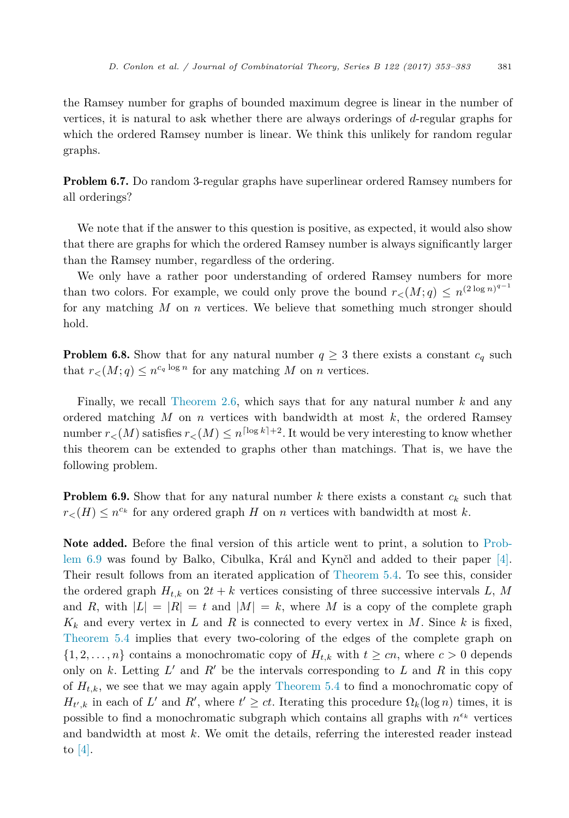the Ramsey number for graphs of bounded maximum degree is linear in the number of vertices, it is natural to ask whether there are always orderings of *d*-regular graphs for which the ordered Ramsey number is linear. We think this unlikely for random regular graphs.

Problem 6.7. Do random 3-regular graphs have superlinear ordered Ramsey numbers for all orderings?

We note that if the answer to this question is positive, as expected, it would also show that there are graphs for which the ordered Ramsey number is always significantly larger than the Ramsey number, regardless of the ordering.

We only have a rather poor understanding of ordered Ramsey numbers for more than two colors. For example, we could only prove the bound  $r$ <sup> $\lt$ </sup>(*M*; *q*)  $\leq n^{(2 \log n)^{q-1}}$ for any matching *M* on *n* vertices. We believe that something much stronger should hold.

**Problem 6.8.** Show that for any natural number  $q \geq 3$  there exists a constant  $c_q$  such that  $r<sub>lt</sub>(M; q) \leq n^{c_q \log n}$  for any matching M on *n* vertices.

Finally, we recall [Theorem 2.6,](#page-11-0) which says that for any natural number *k* and any ordered matching *M* on *n* vertices with bandwidth at most *k*, the ordered Ramsey number  $r<sub>lt</sub>(M)$  satisfies  $r<sub>lt</sub>(M) \leq n^{\lceil \log k \rceil +2}$ . It would be very interesting to know whether this theorem can be extended to graphs other than matchings. That is, we have the following problem.

Problem 6.9. Show that for any natural number *k* there exists a constant *c<sup>k</sup>* such that  $r<sub>lt</sub>(H) \leq n^{c_k}$  for any ordered graph *H* on *n* vertices with bandwidth at most *k*.

Note added. Before the final version of this article went to print, a solution to Problem 6.9 was found by Balko, Cibulka, Král and Kynčl and added to their paper [\[4\].](#page-29-0) Their result follows from an iterated application of [Theorem 5.4.](#page-22-0) To see this, consider the ordered graph  $H_{t,k}$  on  $2t + k$  vertices consisting of three successive intervals L, M and *R*, with  $|L| = |R| = t$  and  $|M| = k$ , where *M* is a copy of the complete graph  $K_k$  and every vertex in *L* and *R* is connected to every vertex in *M*. Since *k* is fixed, [Theorem 5.4](#page-22-0) implies that every two-coloring of the edges of the complete graph on  $\{1, 2, \ldots, n\}$  contains a monochromatic copy of  $H_{t,k}$  with  $t \geq cn$ , where  $c > 0$  depends only on  $k$ . Letting  $L'$  and  $R'$  be the intervals corresponding to  $L$  and  $R$  in this copy of  $H_{t,k}$ , we see that we may again apply [Theorem 5.4](#page-22-0) to find a monochromatic copy of  $H_{t',k}$  in each of *L*' and *R*', where  $t' \ge ct$ . Iterating this procedure  $\Omega_k(\log n)$  times, it is possible to find a monochromatic subgraph which contains all graphs with  $n^{\epsilon_k}$  vertices and bandwidth at most *k*. We omit the details, referring the interested reader instead to [\[4\].](#page-29-0)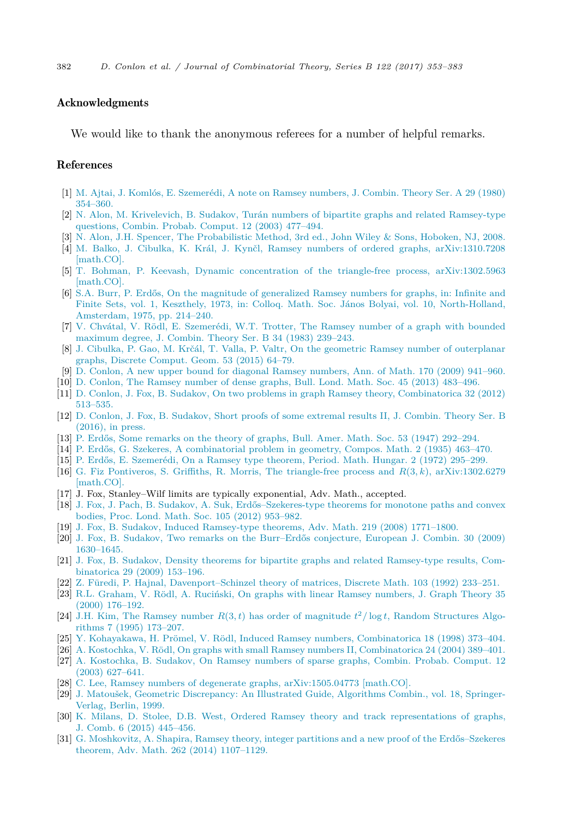## <span id="page-29-0"></span>Acknowledgments

We would like to thank the anonymous referees for a number of helpful remarks.

## References

- [1] M. Ajtai, J. Komlós, E. [Szemerédi,](http://refhub.elsevier.com/S0095-8956(16)30042-9/bib414B533830s1) A note on Ramsey numbers, J. Combin. Theory Ser. A 29 (1980) [354–360.](http://refhub.elsevier.com/S0095-8956(16)30042-9/bib414B533830s1)
- [2] N. Alon, M. Krivelevich, B. Sudakov, Turán numbers of bipartite graphs and related [Ramsey-type](http://refhub.elsevier.com/S0095-8956(16)30042-9/bib414B533033s1) [questions,](http://refhub.elsevier.com/S0095-8956(16)30042-9/bib414B533033s1) Combin. Probab. Comput. 12 (2003) 477–494.
- [3] N. Alon, J.H. Spencer, The [Probabilistic](http://refhub.elsevier.com/S0095-8956(16)30042-9/bib416C5370s1) Method, 3rd ed., John Wiley & Sons, Hoboken, NJ, 2008.
- [4] M. Balko, J. Cibulka, K. Král, J. Kynčl, Ramsey numbers of ordered graphs, [arXiv:1310.7208](http://refhub.elsevier.com/S0095-8956(16)30042-9/bib42434B4B3134s1) [\[math.CO\].](http://refhub.elsevier.com/S0095-8956(16)30042-9/bib42434B4B3134s1)
- [5] T. Bohman, P. Keevash, Dynamic concentration of the triangle-free process, [arXiv:1302.5963](http://refhub.elsevier.com/S0095-8956(16)30042-9/bib424B3134s1) [\[math.CO\].](http://refhub.elsevier.com/S0095-8956(16)30042-9/bib424B3134s1)
- [6] S.A. Burr, P. Erdős, On the magnitude of [generalized](http://refhub.elsevier.com/S0095-8956(16)30042-9/bib42453735s1) Ramsey numbers for graphs, in: Infinite and Finite Sets, vol. 1, Keszthely, 1973, in: Colloq. Math. Soc. János Bolyai, vol. 10, [North-Holland,](http://refhub.elsevier.com/S0095-8956(16)30042-9/bib42453735s1) Amsterdam, 1975, [pp. 214–240.](http://refhub.elsevier.com/S0095-8956(16)30042-9/bib42453735s1)
- [7] V. Chvátal, V. Rödl, E. [Szemerédi,](http://refhub.elsevier.com/S0095-8956(16)30042-9/bib435253543833s1) W.T. Trotter, The Ramsey number of a graph with bounded [maximum](http://refhub.elsevier.com/S0095-8956(16)30042-9/bib435253543833s1) degree, J. Combin. Theory Ser. B 34 (1983) 239–243.
- [8] J. Cibulka, P. Gao, M. Krčál, T. Valla, P. Valtr, On the geometric Ramsey number of [outerplanar](http://refhub.elsevier.com/S0095-8956(16)30042-9/bib43474B56563133s1) graphs, Discrete [Comput.](http://refhub.elsevier.com/S0095-8956(16)30042-9/bib43474B56563133s1) Geom. 53 (2015) 64–79.
- [9] D. Conlon, A new upper bound for diagonal Ramsey [numbers,](http://refhub.elsevier.com/S0095-8956(16)30042-9/bib433039s1) Ann. of Math. 170 (2009) 941–960.
- [10] D. Conlon, The Ramsey number of dense graphs, Bull. Lond. Math. Soc. 45 (2013) [483–496.](http://refhub.elsevier.com/S0095-8956(16)30042-9/bib433133s1)
- [11] D. Conlon, J. Fox, B. Sudakov, On two problems in graph Ramsey theory, [Combinatorica](http://refhub.elsevier.com/S0095-8956(16)30042-9/bib4346533132s1) 32 (2012) [513–535.](http://refhub.elsevier.com/S0095-8956(16)30042-9/bib4346533132s1)
- [12] D. Conlon, J. Fox, B. [Sudakov,](http://refhub.elsevier.com/S0095-8956(16)30042-9/bib4346533136s1) Short proofs of some extremal results II, J. Combin. Theory Ser. B [\(2016\),](http://refhub.elsevier.com/S0095-8956(16)30042-9/bib4346533136s1) in press.
- [13] P. Erdős, Some remarks on the theory of graphs, Bull. Amer. Math. Soc. 53 (1947) [292–294.](http://refhub.elsevier.com/S0095-8956(16)30042-9/bib453437s1)
- [14] P. Erdős, G. Szekeres, A [combinatorial](http://refhub.elsevier.com/S0095-8956(16)30042-9/bib45533335s1) problem in geometry, Compos. Math. 2 (1935) 463–470.
- [15] P. Erdős, E. [Szemerédi,](http://refhub.elsevier.com/S0095-8956(16)30042-9/bib45533732s1) On a Ramsey type theorem, Period. Math. Hungar. 2 (1972) 295–299.
- [16] G. Fiz Pontiveros, S. Griffiths, R. Morris, The triangle-free process and *R*(3*, k*), [arXiv:1302.6279](http://refhub.elsevier.com/S0095-8956(16)30042-9/bib46474D3134s1) [\[math.CO\].](http://refhub.elsevier.com/S0095-8956(16)30042-9/bib46474D3134s1)
- [17] J. Fox, Stanley–Wilf limits are typically exponential, Adv. Math., accepted.
- [18] J. Fox, J. Pach, B. Sudakov, A. Suk, [Erdős–Szekeres-type](http://refhub.elsevier.com/S0095-8956(16)30042-9/bib465053533132s1) theorems for monotone paths and convex bodies, Proc. Lond. Math. Soc. 105 (2012) [953–982.](http://refhub.elsevier.com/S0095-8956(16)30042-9/bib465053533132s1)
- [19] J. Fox, B. Sudakov, Induced [Ramsey-type](http://refhub.elsevier.com/S0095-8956(16)30042-9/bib46533038s1) theorems, Adv. Math. 219 (2008) 1771–1800.
- [20] J. Fox, B. Sudakov, Two remarks on the [Burr–Erdős](http://refhub.elsevier.com/S0095-8956(16)30042-9/bib46533039s1) conjecture, European J. Combin. 30 (2009) [1630–1645.](http://refhub.elsevier.com/S0095-8956(16)30042-9/bib46533039s1)
- [21] J. Fox, B. Sudakov, Density theorems for bipartite graphs and related [Ramsey-type](http://refhub.elsevier.com/S0095-8956(16)30042-9/bib4653303932s1) results, Com[binatorica](http://refhub.elsevier.com/S0095-8956(16)30042-9/bib4653303932s1) 29 (2009) 153–196.
- [22] Z. Füredi, P. Hajnal, [Davenport–Schinzel](http://refhub.elsevier.com/S0095-8956(16)30042-9/bib46483932s1) theory of matrices, Discrete Math. 103 (1992) 233–251.
- [23] R.L. Graham, V. Rödl, A. [Ruciński,](http://refhub.elsevier.com/S0095-8956(16)30042-9/bib475252s1) On graphs with linear Ramsey numbers, J. Graph Theory 35 (2000) [176–192.](http://refhub.elsevier.com/S0095-8956(16)30042-9/bib475252s1)
- [24] J.H. Kim, The Ramsey number  $R(3,t)$  has order of [magnitude](http://refhub.elsevier.com/S0095-8956(16)30042-9/bib4B3935s1)  $t^2/\log t$ , Random Structures Algorithms 7 (1995) [173–207.](http://refhub.elsevier.com/S0095-8956(16)30042-9/bib4B3935s1)
- [25] Y. Kohayakawa, H. Prömel, V. Rödl, Induced Ramsey numbers, [Combinatorica](http://refhub.elsevier.com/S0095-8956(16)30042-9/bib4B50523938s1) 18 (1998) 373–404.
- [26] A. Kostochka, V. Rödl, On graphs with small Ramsey numbers II, [Combinatorica](http://refhub.elsevier.com/S0095-8956(16)30042-9/bib4B523034s1) 24 (2004) 389–401.
- [27] A. [Kostochka,](http://refhub.elsevier.com/S0095-8956(16)30042-9/bib4B533033s1) B. Sudakov, On Ramsey numbers of sparse graphs, Combin. Probab. Comput. 12 (2003) [627–641.](http://refhub.elsevier.com/S0095-8956(16)30042-9/bib4B533033s1)
- [28] C. Lee, Ramsey numbers of degenerate graphs, [arXiv:1505.04773](http://refhub.elsevier.com/S0095-8956(16)30042-9/bib4C3135s1) [math.CO].
- [29] J. Matoušek, Geometric [Discrepancy:](http://refhub.elsevier.com/S0095-8956(16)30042-9/bib4D4744s1) An Illustrated Guide, Algorithms Combin., vol. 18, Springer-[Verlag,](http://refhub.elsevier.com/S0095-8956(16)30042-9/bib4D4744s1) Berlin, 1999.
- [30] K. Milans, D. Stolee, D.B. West, Ordered Ramsey theory and track [representations](http://refhub.elsevier.com/S0095-8956(16)30042-9/bib4D5357s1) of graphs, [J. Comb.](http://refhub.elsevier.com/S0095-8956(16)30042-9/bib4D5357s1) 6 (2015) 445–456.
- [31] G. Moshkovitz, A. Shapira, Ramsey theory, integer partitions and a new proof of the [Erdős–Szekeres](http://refhub.elsevier.com/S0095-8956(16)30042-9/bib4D533133s1) theorem, Adv. Math. 262 (2014) [1107–1129.](http://refhub.elsevier.com/S0095-8956(16)30042-9/bib4D533133s1)